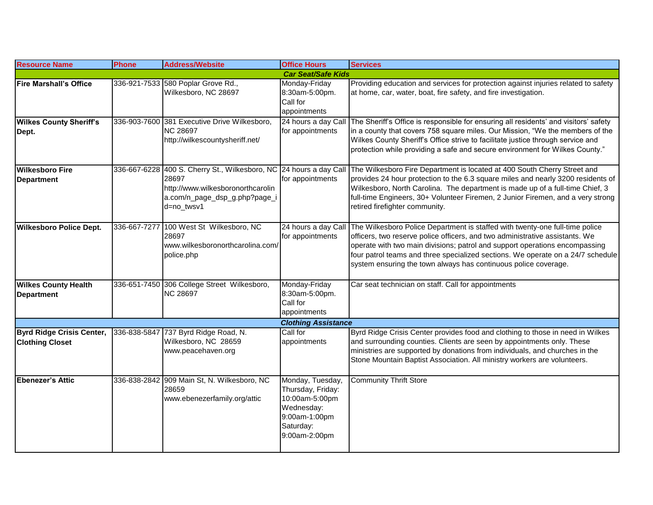| <b>Resource Name</b>                                       | <b>Phone</b> | <b>Address/Website</b>                                                                    | <b>Office Hours</b>                                                                                                  | <b>Services</b>                                                                                                                                                                                                                                                                                                                                                                                                                       |
|------------------------------------------------------------|--------------|-------------------------------------------------------------------------------------------|----------------------------------------------------------------------------------------------------------------------|---------------------------------------------------------------------------------------------------------------------------------------------------------------------------------------------------------------------------------------------------------------------------------------------------------------------------------------------------------------------------------------------------------------------------------------|
|                                                            |              |                                                                                           | <b>Car Seat/Safe Kids</b>                                                                                            |                                                                                                                                                                                                                                                                                                                                                                                                                                       |
| <b>Fire Marshall's Office</b>                              |              | 336-921-7533 580 Poplar Grove Rd.,<br>Wilkesboro, NC 28697                                | Monday-Friday<br>8:30am-5:00pm.<br>Call for<br>appointments                                                          | Providing education and services for protection against injuries related to safety<br>at home, car, water, boat, fire safety, and fire investigation.                                                                                                                                                                                                                                                                                 |
| <b>Wilkes County Sheriff's</b><br>Dept.                    | 336-903-7600 | 381 Executive Drive Wilkesboro,<br><b>NC 28697</b><br>http://wilkescountysheriff.net/     | for appointments                                                                                                     | 24 hours a day Call The Sheriff's Office is responsible for ensuring all residents' and visitors' safety<br>in a county that covers 758 square miles. Our Mission, "We the members of the<br>Wilkes County Sheriff's Office strive to facilitate justice through service and<br>protection while providing a safe and secure environment for Wilkes County."                                                                          |
| <b>Wilkesboro Fire</b><br><b>Department</b>                |              | 28697<br>http://www.wilkesboronorthcarolin<br>a.com/n_page_dsp_g.php?page_i<br>d=no_twsv1 | for appointments                                                                                                     | 336-667-6228 400 S. Cherry St., Wilkesboro, NC 24 hours a day Call The Wilkesboro Fire Department is located at 400 South Cherry Street and<br>provides 24 hour protection to the 6.3 square miles and nearly 3200 residents of<br>Wilkesboro, North Carolina. The department is made up of a full-time Chief, 3<br>full-time Engineers, 30+ Volunteer Firemen, 2 Junior Firemen, and a very strong<br>retired firefighter community. |
| <b>Wilkesboro Police Dept.</b>                             | 336-667-7277 | 100 West St Wilkesboro, NC<br>28697<br>www.wilkesboronorthcarolina.com/<br>police.php     | for appointments                                                                                                     | 24 hours a day Call The Wilkesboro Police Department is staffed with twenty-one full-time police<br>officers, two reserve police officers, and two administrative assistants. We<br>operate with two main divisions; patrol and support operations encompassing<br>four patrol teams and three specialized sections. We operate on a 24/7 schedule<br>system ensuring the town always has continuous police coverage.                 |
| <b>Wilkes County Health</b><br><b>Department</b>           |              | 336-651-7450 306 College Street Wilkesboro,<br><b>NC 28697</b>                            | Monday-Friday<br>8:30am-5:00pm.<br>Call for<br>appointments                                                          | Car seat technician on staff. Call for appointments                                                                                                                                                                                                                                                                                                                                                                                   |
|                                                            |              |                                                                                           | <b>Clothing Assistance</b>                                                                                           |                                                                                                                                                                                                                                                                                                                                                                                                                                       |
| <b>Byrd Ridge Crisis Center,</b><br><b>Clothing Closet</b> | 336-838-5847 | 737 Byrd Ridge Road, N.<br>Wilkesboro, NC 28659<br>www.peacehaven.org                     | Call for<br>appointments                                                                                             | Byrd Ridge Crisis Center provides food and clothing to those in need in Wilkes<br>and surrounding counties. Clients are seen by appointments only. These<br>ministries are supported by donations from individuals, and churches in the<br>Stone Mountain Baptist Association. All ministry workers are volunteers.                                                                                                                   |
| Ebenezer's Attic                                           |              | 336-838-2842 909 Main St, N. Wilkesboro, NC<br>28659<br>www.ebenezerfamily.org/attic      | Monday, Tuesday,<br>Thursday, Friday:<br>10:00am-5:00pm<br>Wednesday:<br>9:00am-1:00pm<br>Saturday:<br>9:00am-2:00pm | <b>Community Thrift Store</b>                                                                                                                                                                                                                                                                                                                                                                                                         |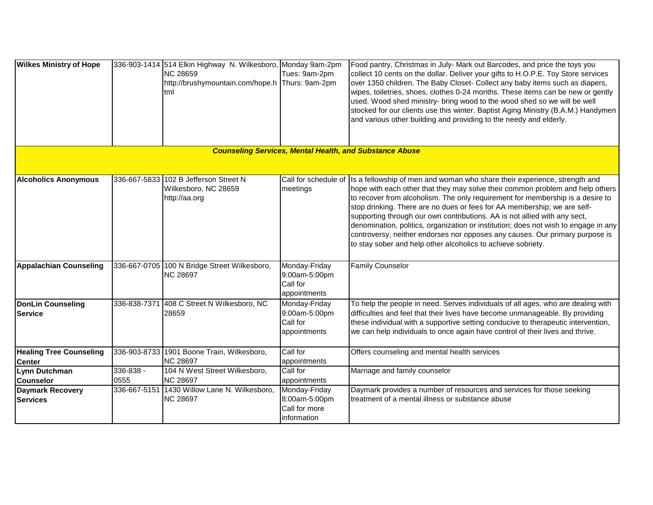| <b>Wilkes Ministry of Hope</b>             |               | 336-903-1414 514 Elkin Highway N. Wilkesboro, Monday 9am-2pm<br><b>NC 28659</b><br>http://brushymountain.com/hope.h Thurs: 9am-2pm<br>tml | Tues: 9am-2pm                                                  | Food pantry, Christmas in July- Mark out Barcodes, and price the toys you<br>collect 10 cents on the dollar. Deliver your gifts to H.O.P.E. Toy Store services<br>over 1350 children. The Baby Closet- Collect any baby items such as diapers,<br>wipes, toiletries, shoes, clothes 0-24 months. These items can be new or gently<br>used. Wood shed ministry- bring wood to the wood shed so we will be well<br>stocked for our clients use this winter. Baptist Aging Ministry (B.A.M.) Handymen<br>and various other building and providing to the needy and elderly.<br><b>Counseling Services, Mental Health, and Substance Abuse</b>                        |
|--------------------------------------------|---------------|-------------------------------------------------------------------------------------------------------------------------------------------|----------------------------------------------------------------|-------------------------------------------------------------------------------------------------------------------------------------------------------------------------------------------------------------------------------------------------------------------------------------------------------------------------------------------------------------------------------------------------------------------------------------------------------------------------------------------------------------------------------------------------------------------------------------------------------------------------------------------------------------------|
|                                            |               |                                                                                                                                           |                                                                |                                                                                                                                                                                                                                                                                                                                                                                                                                                                                                                                                                                                                                                                   |
| <b>Alcoholics Anonymous</b>                | 336-667-5833  | 102 B Jefferson Street N<br>Wilkesboro, NC 28659<br>http://aa.org                                                                         | meetings                                                       | Call for schedule of Is a fellowship of men and woman who share their experience, strength and<br>hope with each other that they may solve their common problem and help others<br>to recover from alcoholism. The only requirement for membership is a desire to<br>stop drinking. There are no dues or fees for AA membership; we are self-<br>supporting through our own contributions. AA is not allied with any sect,<br>denomination, politics, organization or institution; does not wish to engage in any<br>controversy, neither endorses nor opposes any causes. Our primary purpose is<br>to stay sober and help other alcoholics to achieve sobriety. |
| <b>Appalachian Counseling</b>              |               | 336-667-0705 100 N Bridge Street Wilkesboro,<br><b>NC 28697</b>                                                                           | Monday-Friday<br>9:00am-5:00pm<br>Call for<br>appointments     | <b>Family Counselor</b>                                                                                                                                                                                                                                                                                                                                                                                                                                                                                                                                                                                                                                           |
| <b>DonLin Counseling</b><br><b>Service</b> |               | 336-838-7371 408 C Street N Wilkesboro, NC<br>28659                                                                                       | Monday-Friday<br>9:00am-5:00pm<br>Call for<br>appointments     | To help the people in need. Serves individuals of all ages, who are dealing with<br>difficulties and feel that their lives have become unmanageable. By providing<br>these individual with a supportive setting conducive to therapeutic intervention,<br>we can help individuals to once again have control of their lives and thrive.                                                                                                                                                                                                                                                                                                                           |
| <b>Healing Tree Counseling</b>             |               | 336-903-8733 1901 Boone Train, Wilkesboro,<br><b>NC 28697</b>                                                                             | Call for<br>appointments                                       | Offers counseling and mental health services                                                                                                                                                                                                                                                                                                                                                                                                                                                                                                                                                                                                                      |
| <b>Center</b><br>Lynn Dutchman             | $336 - 838 -$ | 104 N West Street Wilkesboro,                                                                                                             | Call for                                                       | Marriage and family counselor                                                                                                                                                                                                                                                                                                                                                                                                                                                                                                                                                                                                                                     |
| <b>Counselor</b>                           | 0555          | <b>NC 28697</b>                                                                                                                           | appointments                                                   |                                                                                                                                                                                                                                                                                                                                                                                                                                                                                                                                                                                                                                                                   |
| <b>Daymark Recovery</b><br><b>Services</b> | 336-667-5151  | 1430 Willow Lane N. Wilkesboro,<br><b>NC 28697</b>                                                                                        | Monday-Friday<br>8:00am-5:00pm<br>Call for more<br>information | Daymark provides a number of resources and services for those seeking<br>treatment of a mental illness or substance abuse                                                                                                                                                                                                                                                                                                                                                                                                                                                                                                                                         |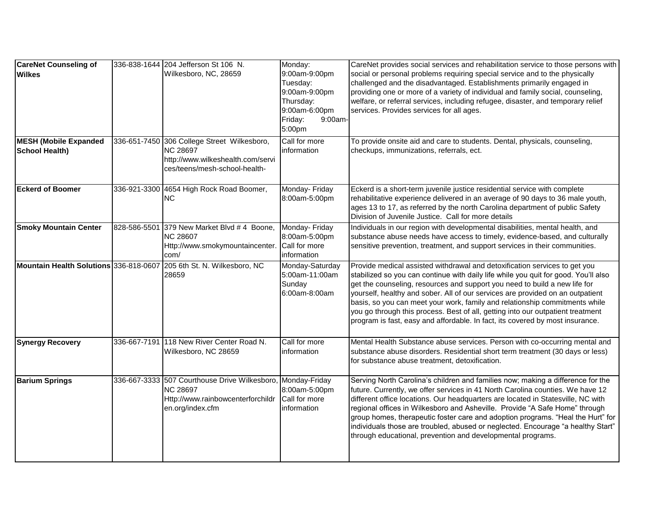| <b>CareNet Counseling of</b><br><b>Wilkes</b><br><b>MESH (Mobile Expanded</b><br>School Health) |              | 336-838-1644 204 Jefferson St 106 N.<br>Wilkesboro, NC, 28659<br>336-651-7450 306 College Street Wilkesboro,<br><b>NC 28697</b><br>http://www.wilkeshealth.com/servi<br>ces/teens/mesh-school-health- | Monday:<br>9:00am-9:00pm<br>Tuesday:<br>9:00am-9:00pm<br>Thursday:<br>9:00am-6:00pm<br>Friday:<br>9:00am-<br>5:00pm<br>Call for more<br>linformation | CareNet provides social services and rehabilitation service to those persons with<br>social or personal problems requiring special service and to the physically<br>challenged and the disadvantaged. Establishments primarily engaged in<br>providing one or more of a variety of individual and family social, counseling,<br>welfare, or referral services, including refugee, disaster, and temporary relief<br>services. Provides services for all ages.<br>To provide onsite aid and care to students. Dental, physicals, counseling,<br>checkups, immunizations, referrals, ect. |
|-------------------------------------------------------------------------------------------------|--------------|-------------------------------------------------------------------------------------------------------------------------------------------------------------------------------------------------------|------------------------------------------------------------------------------------------------------------------------------------------------------|-----------------------------------------------------------------------------------------------------------------------------------------------------------------------------------------------------------------------------------------------------------------------------------------------------------------------------------------------------------------------------------------------------------------------------------------------------------------------------------------------------------------------------------------------------------------------------------------|
| <b>Eckerd of Boomer</b>                                                                         |              | 336-921-3300 4654 High Rock Road Boomer,<br>NC.                                                                                                                                                       | Monday- Friday<br>8:00am-5:00pm                                                                                                                      | Eckerd is a short-term juvenile justice residential service with complete<br>rehabilitative experience delivered in an average of 90 days to 36 male youth,<br>ages 13 to 17, as referred by the north Carolina department of public Safety<br>Division of Juvenile Justice. Call for more details                                                                                                                                                                                                                                                                                      |
| <b>Smoky Mountain Center</b>                                                                    | 828-586-5501 | 379 New Market Blvd # 4 Boone,<br><b>NC 28607</b><br>Http://www.smokymountaincenter.<br>com/                                                                                                          | Monday- Friday<br>8:00am-5:00pm<br>Call for more<br>information                                                                                      | Individuals in our region with developmental disabilities, mental health, and<br>substance abuse needs have access to timely, evidence-based, and culturally<br>sensitive prevention, treatment, and support services in their communities.                                                                                                                                                                                                                                                                                                                                             |
| Mountain Health Solutions 336-818-0607                                                          |              | 205 6th St. N. Wilkesboro, NC<br>28659                                                                                                                                                                | Monday-Saturday<br>5:00am-11:00am<br>Sunday<br>6:00am-8:00am                                                                                         | Provide medical assisted withdrawal and detoxification services to get you<br>stabilized so you can continue with daily life while you quit for good. You'll also<br>get the counseling, resources and support you need to build a new life for<br>yourself, healthy and sober. All of our services are provided on an outpatient<br>basis, so you can meet your work, family and relationship commitments while<br>you go through this process. Best of all, getting into our outpatient treatment<br>program is fast, easy and affordable. In fact, its covered by most insurance.    |
| <b>Synergy Recovery</b>                                                                         |              | 336-667-7191 118 New River Center Road N.<br>Wilkesboro, NC 28659                                                                                                                                     | Call for more<br>information                                                                                                                         | Mental Health Substance abuse services. Person with co-occurring mental and<br>substance abuse disorders. Residential short term treatment (30 days or less)<br>for substance abuse treatment, detoxification.                                                                                                                                                                                                                                                                                                                                                                          |
| <b>Barium Springs</b>                                                                           |              | 336-667-3333 507 Courthouse Drive Wilkesboro,<br><b>NC 28697</b><br>Http://www.rainbowcenterforchildr<br>en.org/index.cfm                                                                             | Monday-Friday<br>8:00am-5:00pm<br>Call for more<br>information                                                                                       | Serving North Carolina's children and families now; making a difference for the<br>future. Currently, we offer services in 41 North Carolina counties. We have 12<br>different office locations. Our headquarters are located in Statesville, NC with<br>regional offices in Wilkesboro and Asheville. Provide "A Safe Home" through<br>group homes, therapeutic foster care and adoption programs. "Heal the Hurt" for<br>individuals those are troubled, abused or neglected. Encourage "a healthy Start"<br>through educational, prevention and developmental programs.              |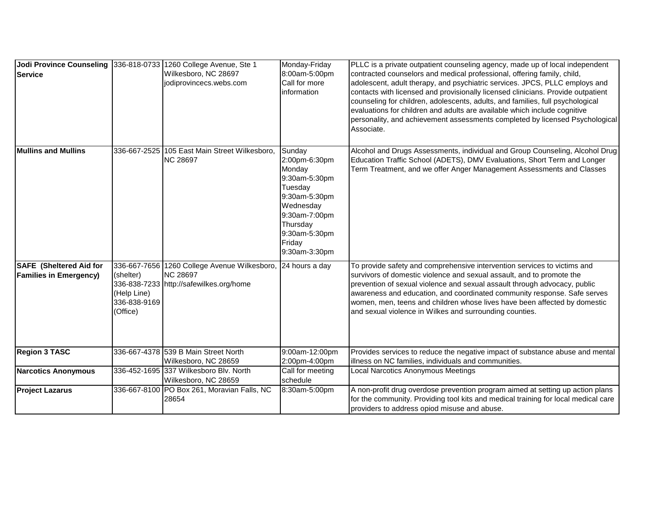| Jodi Province Counseling 336-818-0733 1260 College Avenue, Ste 1<br><b>Service</b> |                                                      | Wilkesboro, NC 28697<br>jodiprovincecs.webs.com                                                            | Monday-Friday<br>8:00am-5:00pm<br>Call for more<br>information                                                                                                       | PLLC is a private outpatient counseling agency, made up of local independent<br>contracted counselors and medical professional, offering family, child,<br>adolescent, adult therapy, and psychiatric services. JPCS, PLLC employs and<br>contacts with licensed and provisionally licensed clinicians. Provide outpatient<br>counseling for children, adolescents, adults, and families, full psychological<br>evaluations for children and adults are available which include cognitive<br>personality, and achievement assessments completed by licensed Psychological<br>Associate. |
|------------------------------------------------------------------------------------|------------------------------------------------------|------------------------------------------------------------------------------------------------------------|----------------------------------------------------------------------------------------------------------------------------------------------------------------------|-----------------------------------------------------------------------------------------------------------------------------------------------------------------------------------------------------------------------------------------------------------------------------------------------------------------------------------------------------------------------------------------------------------------------------------------------------------------------------------------------------------------------------------------------------------------------------------------|
| <b>Mullins and Mullins</b>                                                         |                                                      | 336-667-2525 105 East Main Street Wilkesboro,<br><b>NC 28697</b>                                           | Sunday<br>2:00pm-6:30pm<br>Monday<br>9:30am-5:30pm<br>Tuesday<br>9:30am-5:30pm<br>Wednesday<br>9:30am-7:00pm<br>Thursday<br>9:30am-5:30pm<br>Friday<br>9:30am-3:30pm | Alcohol and Drugs Assessments, individual and Group Counseling, Alcohol Drug<br>Education Traffic School (ADETS), DMV Evaluations, Short Term and Longer<br>Term Treatment, and we offer Anger Management Assessments and Classes                                                                                                                                                                                                                                                                                                                                                       |
| <b>SAFE</b> (Sheltered Aid for<br><b>Families in Emergency)</b>                    | (shelter)<br>(Help Line)<br>336-838-9169<br>(Office) | 336-667-7656 1260 College Avenue Wilkesboro,<br><b>NC 28697</b><br>336-838-7233 http://safewilkes.org/home | 24 hours a day                                                                                                                                                       | To provide safety and comprehensive intervention services to victims and<br>survivors of domestic violence and sexual assault, and to promote the<br>prevention of sexual violence and sexual assault through advocacy, public<br>awareness and education, and coordinated community response. Safe serves<br>women, men, teens and children whose lives have been affected by domestic<br>and sexual violence in Wilkes and surrounding counties.                                                                                                                                      |
| <b>Region 3 TASC</b>                                                               |                                                      | 336-667-4378 539 B Main Street North<br>Wilkesboro, NC 28659                                               | 9:00am-12:00pm<br>2:00pm-4:00pm                                                                                                                                      | Provides services to reduce the negative impact of substance abuse and mental<br>illness on NC families, individuals and communities.                                                                                                                                                                                                                                                                                                                                                                                                                                                   |
| <b>Narcotics Anonymous</b>                                                         |                                                      | 336-452-1695 337 Wilkesboro Blv. North<br>Wilkesboro, NC 28659                                             | Call for meeting<br>schedule                                                                                                                                         | Local Narcotics Anonymous Meetings                                                                                                                                                                                                                                                                                                                                                                                                                                                                                                                                                      |
| <b>Project Lazarus</b>                                                             |                                                      | 336-667-8100 PO Box 261, Moravian Falls, NC<br>28654                                                       | 8:30am-5:00pm                                                                                                                                                        | A non-profit drug overdose prevention program aimed at setting up action plans<br>for the community. Providing tool kits and medical training for local medical care<br>providers to address opiod misuse and abuse.                                                                                                                                                                                                                                                                                                                                                                    |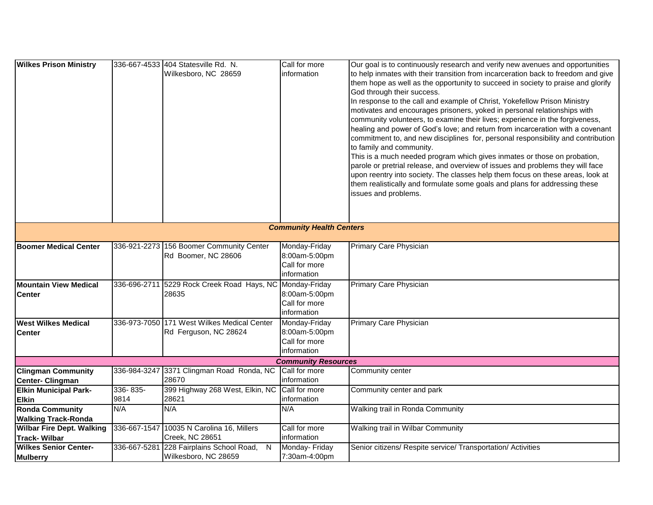| <b>Wilkes Prison Ministry</b>                        |                  | 336-667-4533 404 Statesville Rd. N.<br>Wilkesboro, NC 28659            | Call for more<br>information                                   | Our goal is to continuously research and verify new avenues and opportunities<br>to help inmates with their transition from incarceration back to freedom and give<br>them hope as well as the opportunity to succeed in society to praise and glorify<br>God through their success.<br>In response to the call and example of Christ, Yokefellow Prison Ministry<br>motivates and encourages prisoners, yoked in personal relationships with<br>community volunteers, to examine their lives; experience in the forgiveness,<br>healing and power of God's love; and return from incarceration with a covenant<br>commitment to, and new disciplines for, personal responsibility and contribution<br>to family and community.<br>This is a much needed program which gives inmates or those on probation,<br>parole or pretrial release, and overview of issues and problems they will face<br>upon reentry into society. The classes help them focus on these areas, look at<br>them realistically and formulate some goals and plans for addressing these<br>issues and problems. |
|------------------------------------------------------|------------------|------------------------------------------------------------------------|----------------------------------------------------------------|---------------------------------------------------------------------------------------------------------------------------------------------------------------------------------------------------------------------------------------------------------------------------------------------------------------------------------------------------------------------------------------------------------------------------------------------------------------------------------------------------------------------------------------------------------------------------------------------------------------------------------------------------------------------------------------------------------------------------------------------------------------------------------------------------------------------------------------------------------------------------------------------------------------------------------------------------------------------------------------------------------------------------------------------------------------------------------------|
|                                                      |                  |                                                                        | <b>Community Health Centers</b>                                |                                                                                                                                                                                                                                                                                                                                                                                                                                                                                                                                                                                                                                                                                                                                                                                                                                                                                                                                                                                                                                                                                       |
| <b>Boomer Medical Center</b>                         |                  | 336-921-2273 156 Boomer Community Center<br>Rd Boomer, NC 28606        | Monday-Friday<br>8:00am-5:00pm<br>Call for more<br>information | Primary Care Physician                                                                                                                                                                                                                                                                                                                                                                                                                                                                                                                                                                                                                                                                                                                                                                                                                                                                                                                                                                                                                                                                |
| <b>Mountain View Medical</b><br><b>Center</b>        |                  | 336-696-2711 5229 Rock Creek Road Hays, NC Monday-Friday<br>28635      | 8:00am-5:00pm<br>Call for more<br>information                  | Primary Care Physician                                                                                                                                                                                                                                                                                                                                                                                                                                                                                                                                                                                                                                                                                                                                                                                                                                                                                                                                                                                                                                                                |
| <b>West Wilkes Medical</b><br><b>Center</b>          |                  | 336-973-7050 171 West Wilkes Medical Center<br>Rd Ferguson, NC 28624   | Monday-Friday<br>8:00am-5:00pm<br>Call for more<br>information | Primary Care Physician                                                                                                                                                                                                                                                                                                                                                                                                                                                                                                                                                                                                                                                                                                                                                                                                                                                                                                                                                                                                                                                                |
|                                                      |                  |                                                                        | <b>Community Resources</b>                                     |                                                                                                                                                                                                                                                                                                                                                                                                                                                                                                                                                                                                                                                                                                                                                                                                                                                                                                                                                                                                                                                                                       |
| <b>Clingman Community</b><br><b>Center- Clingman</b> |                  | 336-984-3247 3371 Clingman Road Ronda, NC<br>28670                     | Call for more<br>information                                   | Community center                                                                                                                                                                                                                                                                                                                                                                                                                                                                                                                                                                                                                                                                                                                                                                                                                                                                                                                                                                                                                                                                      |
| <b>Elkin Municipal Park-</b><br><b>Elkin</b>         | 336-835-<br>9814 | 399 Highway 268 West, Elkin, NC<br>28621                               | Call for more<br>information                                   | Community center and park                                                                                                                                                                                                                                                                                                                                                                                                                                                                                                                                                                                                                                                                                                                                                                                                                                                                                                                                                                                                                                                             |
| <b>Ronda Community</b><br><b>Walking Track-Ronda</b> | N/A              | N/A                                                                    | N/A                                                            | Walking trail in Ronda Community                                                                                                                                                                                                                                                                                                                                                                                                                                                                                                                                                                                                                                                                                                                                                                                                                                                                                                                                                                                                                                                      |
| <b>Wilbar Fire Dept. Walking</b><br>Track-Wilbar     |                  | 336-667-1547 10035 N Carolina 16, Millers<br>Creek, NC 28651           | Call for more<br>information                                   | Walking trail in Wilbar Community                                                                                                                                                                                                                                                                                                                                                                                                                                                                                                                                                                                                                                                                                                                                                                                                                                                                                                                                                                                                                                                     |
| <b>Wilkes Senior Center-</b><br><b>Mulberry</b>      |                  | 336-667-5281 228 Fairplains School Road,<br>N.<br>Wilkesboro, NC 28659 | Monday- Friday<br>7:30am-4:00pm                                | Senior citizens/ Respite service/ Transportation/ Activities                                                                                                                                                                                                                                                                                                                                                                                                                                                                                                                                                                                                                                                                                                                                                                                                                                                                                                                                                                                                                          |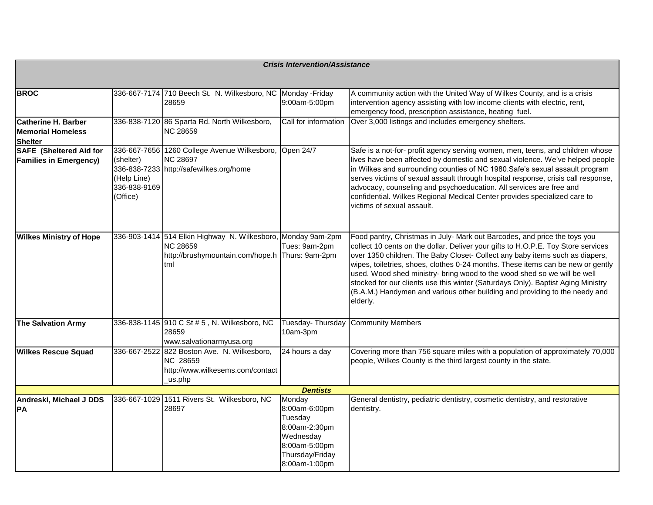| <b>Crisis Intervention/Assistance</b>                           |                                                                      |                                                                                                             |                                                                                                                       |                                                                                                                                                                                                                                                                                                                                                                                                                                                                                                                                                                                              |  |
|-----------------------------------------------------------------|----------------------------------------------------------------------|-------------------------------------------------------------------------------------------------------------|-----------------------------------------------------------------------------------------------------------------------|----------------------------------------------------------------------------------------------------------------------------------------------------------------------------------------------------------------------------------------------------------------------------------------------------------------------------------------------------------------------------------------------------------------------------------------------------------------------------------------------------------------------------------------------------------------------------------------------|--|
|                                                                 |                                                                      |                                                                                                             |                                                                                                                       |                                                                                                                                                                                                                                                                                                                                                                                                                                                                                                                                                                                              |  |
| <b>BROC</b>                                                     |                                                                      | 336-667-7174 710 Beech St. N. Wilkesboro, NC Monday -Friday<br>28659                                        | 9:00am-5:00pm                                                                                                         | A community action with the United Way of Wilkes County, and is a crisis<br>intervention agency assisting with low income clients with electric, rent,<br>emergency food, prescription assistance, heating fuel.                                                                                                                                                                                                                                                                                                                                                                             |  |
| Catherine H. Barber<br>lMemorial Homeless<br><b>Shelter</b>     |                                                                      | 336-838-7120 86 Sparta Rd. North Wilkesboro,<br><b>NC 28659</b>                                             | Call for information                                                                                                  | Over 3,000 listings and includes emergency shelters.                                                                                                                                                                                                                                                                                                                                                                                                                                                                                                                                         |  |
| <b>SAFE</b> (Sheltered Aid for<br><b>Families in Emergency)</b> | (shelter)<br>336-838-7233<br>(Help Line)<br>336-838-9169<br>(Office) | 336-667-7656 1260 College Avenue Wilkesboro,<br><b>NC 28697</b><br>http://safewilkes.org/home               | Open 24/7                                                                                                             | Safe is a not-for- profit agency serving women, men, teens, and children whose<br>lives have been affected by domestic and sexual violence. We've helped people<br>in Wilkes and surrounding counties of NC 1980. Safe's sexual assault program<br>serves victims of sexual assault through hospital response, crisis call response,<br>advocacy, counseling and psychoeducation. All services are free and<br>confidential. Wilkes Regional Medical Center provides specialized care to<br>victims of sexual assault.                                                                       |  |
| <b>Wilkes Ministry of Hope</b>                                  |                                                                      | 336-903-1414 514 Elkin Highway N. Wilkesboro,<br><b>NC 28659</b><br>http://brushymountain.com/hope.h<br>tml | Monday 9am-2pm<br>Tues: 9am-2pm<br>Thurs: 9am-2pm                                                                     | Food pantry, Christmas in July- Mark out Barcodes, and price the toys you<br>collect 10 cents on the dollar. Deliver your gifts to H.O.P.E. Toy Store services<br>over 1350 children. The Baby Closet- Collect any baby items such as diapers,<br>wipes, toiletries, shoes, clothes 0-24 months. These items can be new or gently<br>used. Wood shed ministry- bring wood to the wood shed so we will be well<br>stocked for our clients use this winter (Saturdays Only). Baptist Aging Ministry<br>(B.A.M.) Handymen and various other building and providing to the needy and<br>elderly. |  |
| <b>The Salvation Army</b>                                       |                                                                      | 336-838-1145 910 C St # 5, N. Wilkesboro, NC<br>28659<br>www.salvationarmyusa.org                           | Tuesday-Thursday<br>10am-3pm                                                                                          | <b>Community Members</b>                                                                                                                                                                                                                                                                                                                                                                                                                                                                                                                                                                     |  |
| <b>Wilkes Rescue Squad</b>                                      | 336-667-2522                                                         | 822 Boston Ave. N. Wilkesboro,<br><b>NC 28659</b><br>http://www.wilkesems.com/contact<br>_us.php            | 24 hours a day                                                                                                        | Covering more than 756 square miles with a population of approximately 70,000<br>people, Wilkes County is the third largest county in the state.                                                                                                                                                                                                                                                                                                                                                                                                                                             |  |
|                                                                 |                                                                      |                                                                                                             | <b>Dentists</b>                                                                                                       |                                                                                                                                                                                                                                                                                                                                                                                                                                                                                                                                                                                              |  |
| Andreski, Michael J DDS<br><b>PA</b>                            |                                                                      | 336-667-1029 1511 Rivers St. Wilkesboro, NC<br>28697                                                        | Monday<br>8:00am-6:00pm<br>Tuesday<br>8:00am-2:30pm<br>Wednesday<br>8:00am-5:00pm<br>Thursday/Friday<br>8:00am-1:00pm | General dentistry, pediatric dentistry, cosmetic dentistry, and restorative<br>dentistry.                                                                                                                                                                                                                                                                                                                                                                                                                                                                                                    |  |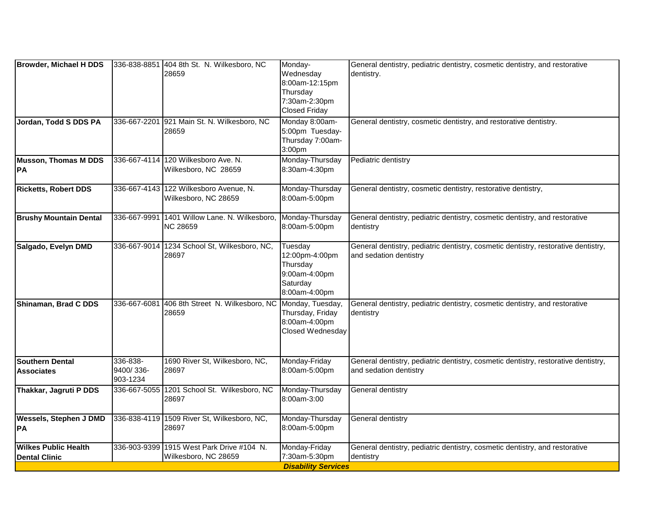| Browder, Michael H DDS                              |                                   | 336-838-8851 404 8th St. N. Wilkesboro, NC<br>28659            | Monday-<br>Wednesday<br>8:00am-12:15pm<br>Thursday<br>7:30am-2:30pm<br><b>Closed Friday</b> | General dentistry, pediatric dentistry, cosmetic dentistry, and restorative<br>dentistry.                    |
|-----------------------------------------------------|-----------------------------------|----------------------------------------------------------------|---------------------------------------------------------------------------------------------|--------------------------------------------------------------------------------------------------------------|
| Jordan, Todd S DDS PA                               | 336-667-2201                      | 921 Main St. N. Wilkesboro, NC<br>28659                        | Monday 8:00am-<br>5:00pm Tuesday-<br>Thursday 7:00am-<br>3:00pm                             | General dentistry, cosmetic dentistry, and restorative dentistry.                                            |
| <b>Musson, Thomas M DDS</b><br> PA                  | 336-667-4114                      | 120 Wilkesboro Ave. N.<br>Wilkesboro, NC 28659                 | Monday-Thursday<br>8:30am-4:30pm                                                            | Pediatric dentistry                                                                                          |
| <b>Ricketts, Robert DDS</b>                         |                                   | 336-667-4143 122 Wilkesboro Avenue, N.<br>Wilkesboro, NC 28659 | Monday-Thursday<br>8:00am-5:00pm                                                            | General dentistry, cosmetic dentistry, restorative dentistry,                                                |
| <b>Brushy Mountain Dental</b>                       | 336-667-9991                      | 1401 Willow Lane. N. Wilkesboro,<br><b>NC 28659</b>            | Monday-Thursday<br>8:00am-5:00pm                                                            | General dentistry, pediatric dentistry, cosmetic dentistry, and restorative<br>dentistry                     |
| Salgado, Evelyn DMD                                 |                                   | 336-667-9014 1234 School St, Wilkesboro, NC,<br>28697          | Tuesday<br>12:00pm-4:00pm<br>Thursday<br>9:00am-4:00pm<br>Saturday<br>8:00am-4:00pm         | General dentistry, pediatric dentistry, cosmetic dentistry, restorative dentistry,<br>and sedation dentistry |
| Shinaman, Brad C DDS                                | 336-667-6081                      | 406 8th Street N. Wilkesboro, NC<br>28659                      | Monday, Tuesday,<br>Thursday, Friday<br>8:00am-4:00pm<br>Closed Wednesday                   | General dentistry, pediatric dentistry, cosmetic dentistry, and restorative<br>dentistry                     |
| <b>Southern Dental</b><br><b>Associates</b>         | 336-838-<br>9400/336-<br>903-1234 | 1690 River St, Wilkesboro, NC,<br>28697                        | Monday-Friday<br>8:00am-5:00pm                                                              | General dentistry, pediatric dentistry, cosmetic dentistry, restorative dentistry,<br>and sedation dentistry |
| Thakkar, Jagruti P DDS                              | 336-667-5055                      | 1201 School St. Wilkesboro, NC<br>28697                        | Monday-Thursday<br>8:00am-3:00                                                              | General dentistry                                                                                            |
| <b>Wessels, Stephen J DMD</b><br> PA                |                                   | 336-838-4119 1509 River St, Wilkesboro, NC,<br>28697           | Monday-Thursday<br>8:00am-5:00pm                                                            | General dentistry                                                                                            |
| <b>Wilkes Public Health</b><br><b>Dental Clinic</b> | 336-903-9399                      | 1915 West Park Drive #104 N.<br>Wilkesboro, NC 28659           | Monday-Friday<br>7:30am-5:30pm<br><b>Disability Services</b>                                | General dentistry, pediatric dentistry, cosmetic dentistry, and restorative<br>dentistry                     |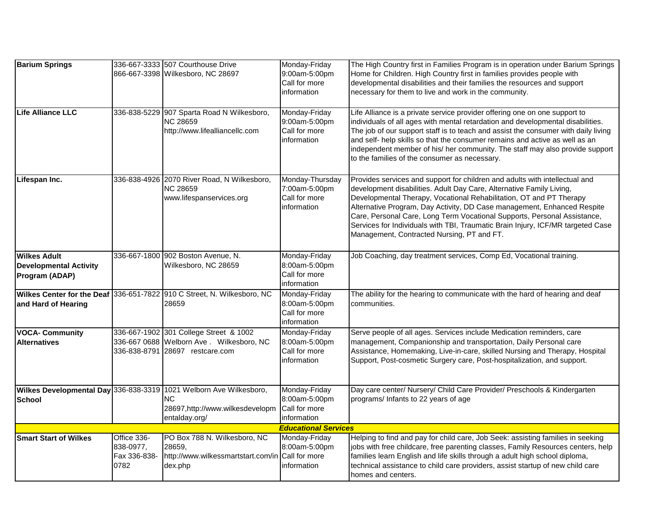| <b>Barium Springs</b>                           |                                                  | 336-667-3333 507 Courthouse Drive<br>866-667-3398 Wilkesboro, NC 28697                                                       | Monday-Friday<br>9:00am-5:00pm                                   | The High Country first in Families Program is in operation under Barium Springs<br>Home for Children. High Country first in families provides people with                                                                                                                                                                                                                                                                                                                                                          |
|-------------------------------------------------|--------------------------------------------------|------------------------------------------------------------------------------------------------------------------------------|------------------------------------------------------------------|--------------------------------------------------------------------------------------------------------------------------------------------------------------------------------------------------------------------------------------------------------------------------------------------------------------------------------------------------------------------------------------------------------------------------------------------------------------------------------------------------------------------|
|                                                 |                                                  |                                                                                                                              | Call for more<br>information                                     | developmental disabilities and their families the resources and support<br>necessary for them to live and work in the community.                                                                                                                                                                                                                                                                                                                                                                                   |
| Life Alliance LLC                               | 336-838-5229                                     | 907 Sparta Road N Wilkesboro,<br><b>NC 28659</b><br>http://www.lifealliancellc.com                                           | Monday-Friday<br>9:00am-5:00pm<br>Call for more<br>information   | Life Alliance is a private service provider offering one on one support to<br>individuals of all ages with mental retardation and developmental disabilities.<br>The job of our support staff is to teach and assist the consumer with daily living<br>and self- help skills so that the consumer remains and active as well as an<br>independent member of his/ her community. The staff may also provide support<br>to the families of the consumer as necessary.                                                |
| Lifespan Inc.                                   |                                                  | 336-838-4926 2070 River Road, N Wilkesboro,<br><b>NC 28659</b><br>www.lifespanservices.org                                   | Monday-Thursday<br>7:00am-5:00pm<br>Call for more<br>information | Provides services and support for children and adults with intellectual and<br>development disabilities. Adult Day Care, Alternative Family Living,<br>Developmental Therapy, Vocational Rehabilitation, OT and PT Therapy<br>Alternative Program, Day Activity, DD Case management, Enhanced Respite<br>Care, Personal Care, Long Term Vocational Supports, Personal Assistance,<br>Services for Individuals with TBI, Traumatic Brain Injury, ICF/MR targeted Case<br>Management, Contracted Nursing, PT and FT. |
| <b>Wilkes Adult</b>                             |                                                  | 336-667-1800 902 Boston Avenue, N.                                                                                           | Monday-Friday                                                    | Job Coaching, day treatment services, Comp Ed, Vocational training.                                                                                                                                                                                                                                                                                                                                                                                                                                                |
| <b>Developmental Activity</b><br>Program (ADAP) |                                                  | Wilkesboro, NC 28659                                                                                                         | 8:00am-5:00pm<br>Call for more<br>information                    |                                                                                                                                                                                                                                                                                                                                                                                                                                                                                                                    |
| and Hard of Hearing                             |                                                  | Wilkes Center for the Deaf 336-651-7822 910 C Street, N. Wilkesboro, NC<br>28659                                             | Monday-Friday<br>8:00am-5:00pm<br>Call for more<br>information   | The ability for the hearing to communicate with the hard of hearing and deaf<br>communities.                                                                                                                                                                                                                                                                                                                                                                                                                       |
| <b>VOCA- Community</b><br><b>Alternatives</b>   |                                                  | 336-667-1902 301 College Street & 1002<br>336-667 0688 Welborn Ave . Wilkesboro, NC<br>336-838-8791 28697 restcare.com       | Monday-Friday<br>8:00am-5:00pm<br>Call for more<br>information   | Serve people of all ages. Services include Medication reminders, care<br>management, Companionship and transportation, Daily Personal care<br>Assistance, Homemaking, Live-in-care, skilled Nursing and Therapy, Hospital<br>Support, Post-cosmetic Surgery care, Post-hospitalization, and support.                                                                                                                                                                                                               |
| <b>School</b>                                   |                                                  | Wilkes Developmental Day 336-838-3319 1021 Welborn Ave Wilkesboro,<br>ΝC<br>28697,http://www.wilkesdevelopm<br>entalday.org/ | Monday-Friday<br>8:00am-5:00pm<br>Call for more<br>information   | Day care center/ Nursery/ Child Care Provider/ Preschools & Kindergarten<br>programs/ Infants to 22 years of age                                                                                                                                                                                                                                                                                                                                                                                                   |
|                                                 |                                                  |                                                                                                                              | <b>Educational Services</b>                                      |                                                                                                                                                                                                                                                                                                                                                                                                                                                                                                                    |
| <b>Smart Start of Wilkes</b>                    | Office 336-<br>838-0977,<br>Fax 336-838-<br>0782 | PO Box 788 N. Wilkesboro, NC<br>28659,<br>http://www.wilkessmartstart.com/in<br>dex.php                                      | Monday-Friday<br>8:00am-5:00pm<br>Call for more<br>information   | Helping to find and pay for child care, Job Seek: assisting families in seeking<br>jobs with free childcare, free parenting classes, Family Resources centers, help<br>families learn English and life skills through a adult high school diploma,<br>technical assistance to child care providers, assist startup of new child care<br>homes and centers.                                                                                                                                                         |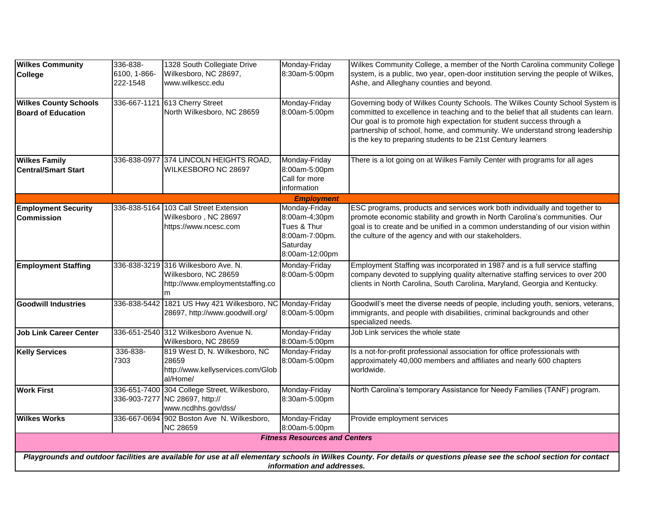| <b>Wilkes Community</b><br><b>College</b>                                                                                                                                                             | 336-838-<br>6100, 1-866-<br>222-1548 | 1328 South Collegiate Drive<br>Wilkesboro, NC 28697,<br>www.wilkescc.edu                              | Monday-Friday<br>8:30am-5:00pm                                                                | Wilkes Community College, a member of the North Carolina community College<br>system, is a public, two year, open-door institution serving the people of Wilkes,<br>Ashe, and Alleghany counties and beyond.                                                                                                                                                                              |  |  |
|-------------------------------------------------------------------------------------------------------------------------------------------------------------------------------------------------------|--------------------------------------|-------------------------------------------------------------------------------------------------------|-----------------------------------------------------------------------------------------------|-------------------------------------------------------------------------------------------------------------------------------------------------------------------------------------------------------------------------------------------------------------------------------------------------------------------------------------------------------------------------------------------|--|--|
| <b>Wilkes County Schools</b><br><b>Board of Education</b>                                                                                                                                             |                                      | 336-667-1121 613 Cherry Street<br>North Wilkesboro, NC 28659                                          | Monday-Friday<br>8:00am-5:00pm                                                                | Governing body of Wilkes County Schools. The Wilkes County School System is<br>committed to excellence in teaching and to the belief that all students can learn.<br>Our goal is to promote high expectation for student success through a<br>partnership of school, home, and community. We understand strong leadership<br>is the key to preparing students to be 21st Century learners |  |  |
| <b>Wilkes Family</b><br><b>Central/Smart Start</b>                                                                                                                                                    |                                      | 336-838-0977 374 LINCOLN HEIGHTS ROAD,<br>WILKESBORO NC 28697                                         | Monday-Friday<br>8:00am-5:00pm<br>Call for more<br>information                                | There is a lot going on at Wilkes Family Center with programs for all ages                                                                                                                                                                                                                                                                                                                |  |  |
| <b>Employment</b>                                                                                                                                                                                     |                                      |                                                                                                       |                                                                                               |                                                                                                                                                                                                                                                                                                                                                                                           |  |  |
| <b>Employment Security</b><br><b>Commission</b>                                                                                                                                                       |                                      | 336-838-5164 103 Call Street Extension<br>Wilkesboro, NC 28697<br>https://www.ncesc.com               | Monday-Friday<br>8:00am-4;30pm<br>Tues & Thur<br>8:00am-7:00pm.<br>Saturday<br>8:00am-12:00pm | ESC programs, products and services work both individually and together to<br>promote economic stability and growth in North Carolina's communities. Our<br>goal is to create and be unified in a common understanding of our vision within<br>the culture of the agency and with our stakeholders.                                                                                       |  |  |
| <b>Employment Staffing</b>                                                                                                                                                                            |                                      | 336-838-3219 316 Wilkesboro Ave. N.<br>Wilkesboro, NC 28659<br>http://www.employmentstaffing.co<br>m  | Monday-Friday<br>8:00am-5:00pm                                                                | Employment Staffing was incorporated in 1987 and is a full service staffing<br>company devoted to supplying quality alternative staffing services to over 200<br>clients in North Carolina, South Carolina, Maryland, Georgia and Kentucky.                                                                                                                                               |  |  |
| <b>Goodwill Industries</b>                                                                                                                                                                            | 336-838-5442                         | 1821 US Hwy 421 Wilkesboro, NC Monday-Friday<br>28697, http://www.goodwill.org/                       | 8:00am-5:00pm                                                                                 | Goodwill's meet the diverse needs of people, including youth, seniors, veterans,<br>immigrants, and people with disabilities, criminal backgrounds and other<br>specialized needs.                                                                                                                                                                                                        |  |  |
| <b>Job Link Career Center</b>                                                                                                                                                                         |                                      | 336-651-2540 312 Wilkesboro Avenue N.<br>Wilkesboro, NC 28659                                         | Monday-Friday<br>8:00am-5:00pm                                                                | Job Link services the whole state                                                                                                                                                                                                                                                                                                                                                         |  |  |
| <b>Kelly Services</b>                                                                                                                                                                                 | 336-838-<br>7303                     | 819 West D, N. Wilkesboro, NC<br>28659<br>http://www.kellyservices.com/Glob<br>al/Home/               | Monday-Friday<br>8:00am-5:00pm                                                                | Is a not-for-profit professional association for office professionals with<br>approximately 40,000 members and affiliates and nearly 600 chapters<br>worldwide.                                                                                                                                                                                                                           |  |  |
| <b>Work First</b>                                                                                                                                                                                     |                                      | 336-651-7400 304 College Street, Wilkesboro,<br>336-903-7277 NC 28697, http://<br>www.ncdhhs.gov/dss/ | Monday-Friday<br>8:30am-5:00pm                                                                | North Carolina's temporary Assistance for Needy Families (TANF) program.                                                                                                                                                                                                                                                                                                                  |  |  |
| <b>Wilkes Works</b>                                                                                                                                                                                   |                                      | 336-667-0694 902 Boston Ave N. Wilkesboro,<br><b>NC 28659</b>                                         | Monday-Friday<br>8:00am-5:00pm                                                                | Provide employment services                                                                                                                                                                                                                                                                                                                                                               |  |  |
|                                                                                                                                                                                                       |                                      |                                                                                                       | <b>Fitness Resources and Centers</b>                                                          |                                                                                                                                                                                                                                                                                                                                                                                           |  |  |
| Playgrounds and outdoor facilities are available for use at all elementary schools in Wilkes County. For details or questions please see the school section for contact<br>information and addresses. |                                      |                                                                                                       |                                                                                               |                                                                                                                                                                                                                                                                                                                                                                                           |  |  |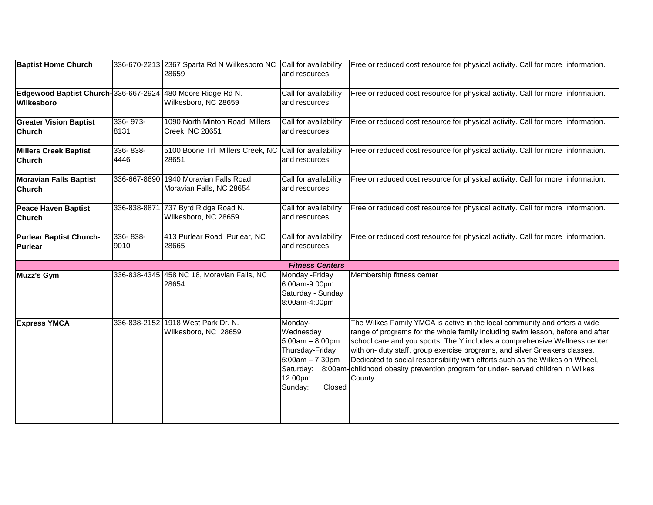| <b>Baptist Home Church</b>                                                      |                  | 336-670-2213 2367 Sparta Rd N Wilkesboro NC<br>28659       | Call for availability<br>and resources                                                                            | Free or reduced cost resource for physical activity. Call for more information.                                                                                                                                                                                                                                                                                                                                                                                                                                 |
|---------------------------------------------------------------------------------|------------------|------------------------------------------------------------|-------------------------------------------------------------------------------------------------------------------|-----------------------------------------------------------------------------------------------------------------------------------------------------------------------------------------------------------------------------------------------------------------------------------------------------------------------------------------------------------------------------------------------------------------------------------------------------------------------------------------------------------------|
| Edgewood Baptist Church-336-667-2924 480 Moore Ridge Rd N.<br><b>Wilkesboro</b> |                  | Wilkesboro, NC 28659                                       | Call for availability<br>and resources                                                                            | Free or reduced cost resource for physical activity. Call for more information.                                                                                                                                                                                                                                                                                                                                                                                                                                 |
| <b>Greater Vision Baptist</b><br><b>Church</b>                                  | 336-973-<br>8131 | 1090 North Minton Road Millers<br>Creek, NC 28651          | Call for availability<br>and resources                                                                            | Free or reduced cost resource for physical activity. Call for more information.                                                                                                                                                                                                                                                                                                                                                                                                                                 |
| <b>Millers Creek Baptist</b><br><b>Church</b>                                   | 336-838-<br>4446 | 5100 Boone Trl Millers Creek, NC<br>28651                  | Call for availability<br>and resources                                                                            | Free or reduced cost resource for physical activity. Call for more information.                                                                                                                                                                                                                                                                                                                                                                                                                                 |
| <b>Moravian Falls Baptist</b><br><b>Church</b>                                  | 336-667-8690     | 1940 Moravian Falls Road<br>Moravian Falls, NC 28654       | Call for availability<br>and resources                                                                            | Free or reduced cost resource for physical activity. Call for more information.                                                                                                                                                                                                                                                                                                                                                                                                                                 |
| Peace Haven Baptist<br><b>Church</b>                                            | 336-838-8871     | 737 Byrd Ridge Road N.<br>Wilkesboro, NC 28659             | Call for availability<br>and resources                                                                            | Free or reduced cost resource for physical activity. Call for more information.                                                                                                                                                                                                                                                                                                                                                                                                                                 |
| Purlear Baptist Church-<br>Purlear                                              | 336-838-<br>9010 | 413 Purlear Road Purlear, NC<br>28665                      | Call for availability<br>and resources                                                                            | Free or reduced cost resource for physical activity. Call for more information.                                                                                                                                                                                                                                                                                                                                                                                                                                 |
|                                                                                 |                  |                                                            | <b>Fitness Centers</b>                                                                                            |                                                                                                                                                                                                                                                                                                                                                                                                                                                                                                                 |
| Muzz's Gym                                                                      |                  | 336-838-4345 458 NC 18, Moravian Falls, NC<br>28654        | Monday - Friday<br>6:00am-9:00pm<br>Saturday - Sunday<br>8:00am-4:00pm                                            | Membership fitness center                                                                                                                                                                                                                                                                                                                                                                                                                                                                                       |
| <b>Express YMCA</b>                                                             |                  | 336-838-2152 1918 West Park Dr. N.<br>Wilkesboro, NC 28659 | Monday-<br>Wednesday<br>$5:00am - 8:00pm$<br>Thursday-Friday<br>$5:00am - 7:30pm$<br>12:00pm<br>Sunday:<br>Closed | The Wilkes Family YMCA is active in the local community and offers a wide<br>range of programs for the whole family including swim lesson, before and after<br>school care and you sports. The Y includes a comprehensive Wellness center<br>with on- duty staff, group exercise programs, and silver Sneakers classes.<br>Dedicated to social responsibility with efforts such as the Wilkes on Wheel,<br>Saturday: 8:00am-childhood obesity prevention program for under-served children in Wilkes<br>County. |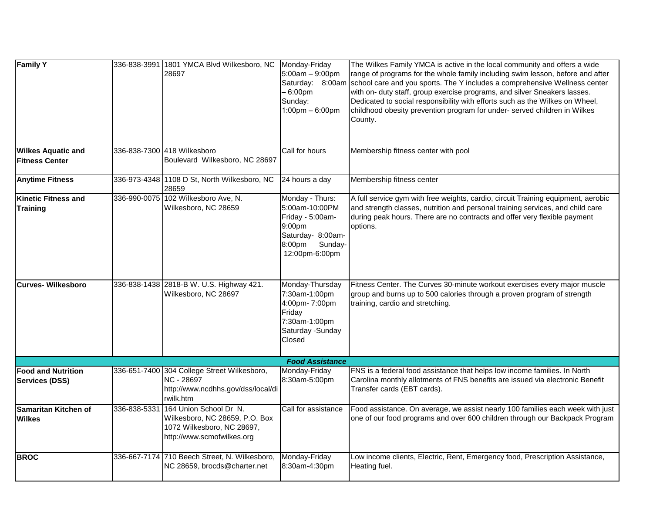| <b>Family Y</b>                                    |              | 336-838-3991 1801 YMCA Blvd Wilkesboro, NC<br>28697                                                                  | Monday-Friday<br>$5:00am - 9:00pm$<br>- 6:00pm<br>Sunday:<br>$1:00$ pm $-6:00$ pm                                           | The Wilkes Family YMCA is active in the local community and offers a wide<br>range of programs for the whole family including swim lesson, before and after<br>Saturday: 8:00am school care and you sports. The Y includes a comprehensive Wellness center<br>with on- duty staff, group exercise programs, and silver Sneakers lasses.<br>Dedicated to social responsibility with efforts such as the Wilkes on Wheel,<br>childhood obesity prevention program for under-served children in Wilkes<br>County. |
|----------------------------------------------------|--------------|----------------------------------------------------------------------------------------------------------------------|-----------------------------------------------------------------------------------------------------------------------------|----------------------------------------------------------------------------------------------------------------------------------------------------------------------------------------------------------------------------------------------------------------------------------------------------------------------------------------------------------------------------------------------------------------------------------------------------------------------------------------------------------------|
| <b>Wilkes Aquatic and</b><br><b>Fitness Center</b> | 336-838-7300 | 418 Wilkesboro<br>Boulevard Wilkesboro, NC 28697                                                                     | Call for hours                                                                                                              | Membership fitness center with pool                                                                                                                                                                                                                                                                                                                                                                                                                                                                            |
| <b>Anytime Fitness</b>                             |              | 336-973-4348 1108 D St, North Wilkesboro, NC<br>28659                                                                | 24 hours a day                                                                                                              | Membership fitness center                                                                                                                                                                                                                                                                                                                                                                                                                                                                                      |
| <b>Kinetic Fitness and</b><br><b>Training</b>      |              | 336-990-0075 102 Wilkesboro Ave, N.<br>Wilkesboro, NC 28659                                                          | Monday - Thurs:<br>5:00am-10:00PM<br>Friday - 5:00am-<br>9:00pm<br>Saturday- 8:00am-<br>8:00pm<br>Sunday-<br>12:00pm-6:00pm | A full service gym with free weights, cardio, circuit Training equipment, aerobic<br>and strength classes, nutrition and personal training services, and child care<br>during peak hours. There are no contracts and offer very flexible payment<br>options.                                                                                                                                                                                                                                                   |
| <b>Curves-Wilkesboro</b>                           |              | 336-838-1438 2818-B W. U.S. Highway 421.<br>Wilkesboro, NC 28697                                                     | Monday-Thursday<br>7:30am-1:00pm<br>4:00pm- 7:00pm<br>Friday<br>7:30am-1:00pm<br>Saturday -Sunday<br>Closed                 | Fitness Center. The Curves 30-minute workout exercises every major muscle<br>group and burns up to 500 calories through a proven program of strength<br>training, cardio and stretching.                                                                                                                                                                                                                                                                                                                       |
|                                                    |              |                                                                                                                      | <b>Food Assistance</b>                                                                                                      |                                                                                                                                                                                                                                                                                                                                                                                                                                                                                                                |
| <b>Food and Nutrition</b><br><b>Services (DSS)</b> | 336-651-7400 | 304 College Street Wilkesboro,<br>NC - 28697<br>http://www.ncdhhs.gov/dss/local/di<br>rwilk.htm                      | Monday-Friday<br>8:30am-5:00pm                                                                                              | FNS is a federal food assistance that helps low income families. In North<br>Carolina monthly allotments of FNS benefits are issued via electronic Benefit<br>Transfer cards (EBT cards).                                                                                                                                                                                                                                                                                                                      |
| Samaritan Kitchen of<br><b>Wilkes</b>              | 336-838-5331 | 164 Union School Dr N.<br>Wilkesboro, NC 28659, P.O. Box<br>1072 Wilkesboro, NC 28697,<br>http://www.scmofwilkes.org | Call for assistance                                                                                                         | Food assistance. On average, we assist nearly 100 families each week with just<br>one of our food programs and over 600 children through our Backpack Program                                                                                                                                                                                                                                                                                                                                                  |
| <b>BROC</b>                                        |              | 336-667-7174 710 Beech Street, N. Wilkesboro,<br>NC 28659, brocds@charter.net                                        | Monday-Friday<br>8:30am-4:30pm                                                                                              | Low income clients, Electric, Rent, Emergency food, Prescription Assistance,<br>Heating fuel.                                                                                                                                                                                                                                                                                                                                                                                                                  |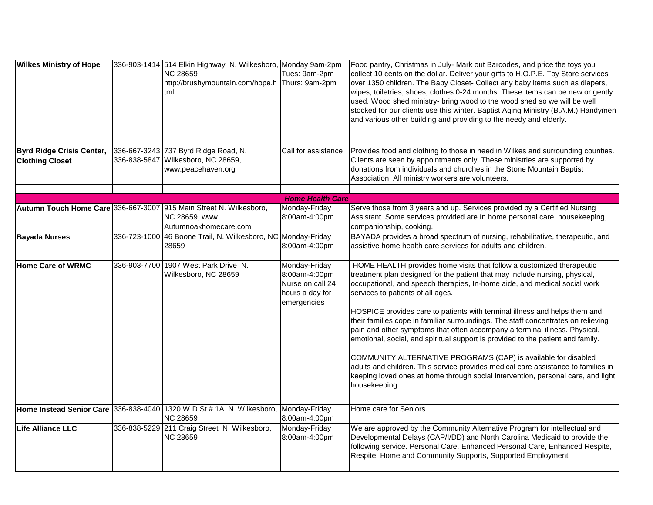| <b>Wilkes Ministry of Hope</b>                             |              | 336-903-1414 514 Elkin Highway N. Wilkesboro, Monday 9am-2pm<br><b>NC 28659</b><br>http://brushymountain.com/hope.h<br>tml | Tues: 9am-2pm<br>Thurs: 9am-2pm                                                      | Food pantry, Christmas in July- Mark out Barcodes, and price the toys you<br>collect 10 cents on the dollar. Deliver your gifts to H.O.P.E. Toy Store services<br>over 1350 children. The Baby Closet- Collect any baby items such as diapers,<br>wipes, toiletries, shoes, clothes 0-24 months. These items can be new or gently<br>used. Wood shed ministry- bring wood to the wood shed so we will be well<br>stocked for our clients use this winter. Baptist Aging Ministry (B.A.M.) Handymen<br>and various other building and providing to the needy and elderly.                                                                                                                                                                                                                                                                                               |
|------------------------------------------------------------|--------------|----------------------------------------------------------------------------------------------------------------------------|--------------------------------------------------------------------------------------|------------------------------------------------------------------------------------------------------------------------------------------------------------------------------------------------------------------------------------------------------------------------------------------------------------------------------------------------------------------------------------------------------------------------------------------------------------------------------------------------------------------------------------------------------------------------------------------------------------------------------------------------------------------------------------------------------------------------------------------------------------------------------------------------------------------------------------------------------------------------|
| <b>Byrd Ridge Crisis Center,</b><br><b>Clothing Closet</b> |              | 336-667-3243 737 Byrd Ridge Road, N.<br>336-838-5847 Wilkesboro, NC 28659,<br>www.peacehaven.org                           | Call for assistance                                                                  | Provides food and clothing to those in need in Wilkes and surrounding counties.<br>Clients are seen by appointments only. These ministries are supported by<br>donations from individuals and churches in the Stone Mountain Baptist<br>Association. All ministry workers are volunteers.                                                                                                                                                                                                                                                                                                                                                                                                                                                                                                                                                                              |
|                                                            |              |                                                                                                                            |                                                                                      |                                                                                                                                                                                                                                                                                                                                                                                                                                                                                                                                                                                                                                                                                                                                                                                                                                                                        |
|                                                            |              | Autumn Touch Home Care 336-667-3007 915 Main Street N. Wilkesboro,<br>NC 28659, www.<br>Autumnoakhomecare.com              | <b>Home Health Care</b><br>Monday-Friday<br>8:00am-4:00pm                            | Serve those from 3 years and up. Services provided by a Certified Nursing<br>Assistant. Some services provided are In home personal care, housekeeping,<br>companionship, cooking.                                                                                                                                                                                                                                                                                                                                                                                                                                                                                                                                                                                                                                                                                     |
| <b>Bayada Nurses</b>                                       |              | 336-723-1000 46 Boone Trail, N. Wilkesboro, NC Monday-Friday<br>28659                                                      | 8:00am-4:00pm                                                                        | BAYADA provides a broad spectrum of nursing, rehabilitative, therapeutic, and<br>assistive home health care services for adults and children.                                                                                                                                                                                                                                                                                                                                                                                                                                                                                                                                                                                                                                                                                                                          |
| Home Care of WRMC                                          | 336-903-7700 | 1907 West Park Drive N.<br>Wilkesboro, NC 28659                                                                            | Monday-Friday<br>8:00am-4:00pm<br>Nurse on call 24<br>hours a day for<br>emergencies | HOME HEALTH provides home visits that follow a customized therapeutic<br>treatment plan designed for the patient that may include nursing, physical,<br>occupational, and speech therapies, In-home aide, and medical social work<br>services to patients of all ages.<br>HOSPICE provides care to patients with terminal illness and helps them and<br>their families cope in familiar surroundings. The staff concentrates on relieving<br>pain and other symptoms that often accompany a terminal illness. Physical,<br>emotional, social, and spiritual support is provided to the patient and family.<br>COMMUNITY ALTERNATIVE PROGRAMS (CAP) is available for disabled<br>adults and children. This service provides medical care assistance to families in<br>keeping loved ones at home through social intervention, personal care, and light<br>housekeeping. |
|                                                            |              | Home Instead Senior Care 336-838-4040 1320 W D St # 1A N. Wilkesboro, Monday-Friday<br><b>NC 28659</b>                     | 8:00am-4:00pm                                                                        | Home care for Seniors.                                                                                                                                                                                                                                                                                                                                                                                                                                                                                                                                                                                                                                                                                                                                                                                                                                                 |
| Life Alliance LLC                                          | 336-838-5229 | 211 Craig Street N. Wilkesboro,<br><b>NC 28659</b>                                                                         | Monday-Friday<br>8:00am-4:00pm                                                       | We are approved by the Community Alternative Program for intellectual and<br>Developmental Delays (CAP/I/DD) and North Carolina Medicaid to provide the<br>following service. Personal Care, Enhanced Personal Care, Enhanced Respite,<br>Respite, Home and Community Supports, Supported Employment                                                                                                                                                                                                                                                                                                                                                                                                                                                                                                                                                                   |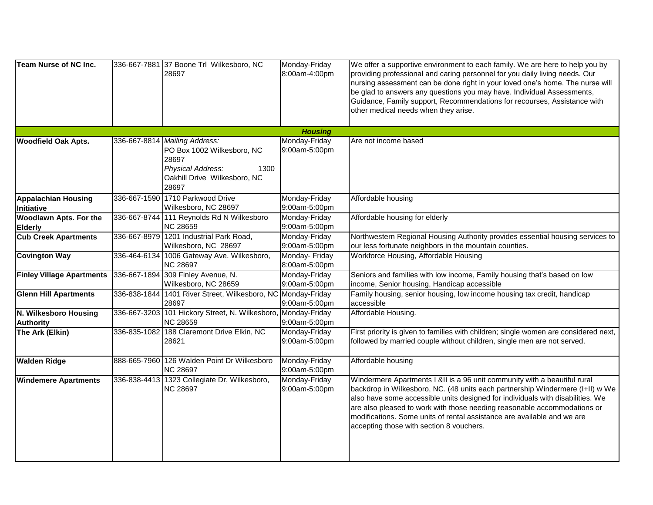| <b>Team Nurse of NC Inc.</b>     |              | 336-667-7881 37 Boone Trl Wilkesboro, NC                      | Monday-Friday                   | We offer a supportive environment to each family. We are here to help you by                                                                                                                                                                                                                                                                               |
|----------------------------------|--------------|---------------------------------------------------------------|---------------------------------|------------------------------------------------------------------------------------------------------------------------------------------------------------------------------------------------------------------------------------------------------------------------------------------------------------------------------------------------------------|
|                                  |              | 28697                                                         | 8:00am-4:00pm                   | providing professional and caring personnel for you daily living needs. Our<br>nursing assessment can be done right in your loved one's home. The nurse will<br>be glad to answers any questions you may have. Individual Assessments,<br>Guidance, Family support, Recommendations for recourses, Assistance with<br>other medical needs when they arise. |
|                                  |              |                                                               | <b>Housing</b>                  |                                                                                                                                                                                                                                                                                                                                                            |
| <b>Woodfield Oak Apts.</b>       |              | 336-667-8814 Mailing Address:                                 | Monday-Friday                   | Are not income based                                                                                                                                                                                                                                                                                                                                       |
|                                  |              | PO Box 1002 Wilkesboro, NC                                    | 9:00am-5:00pm                   |                                                                                                                                                                                                                                                                                                                                                            |
|                                  |              | 28697<br>Physical Address:<br>1300                            |                                 |                                                                                                                                                                                                                                                                                                                                                            |
|                                  |              | Oakhill Drive Wilkesboro, NC                                  |                                 |                                                                                                                                                                                                                                                                                                                                                            |
|                                  |              | 28697                                                         |                                 |                                                                                                                                                                                                                                                                                                                                                            |
| <b>Appalachian Housing</b>       |              | 336-667-1590 1710 Parkwood Drive                              | Monday-Friday                   | Affordable housing                                                                                                                                                                                                                                                                                                                                         |
| <b>Initiative</b>                |              | Wilkesboro, NC 28697                                          | 9:00am-5:00pm                   |                                                                                                                                                                                                                                                                                                                                                            |
| <b>Woodlawn Apts. For the</b>    |              | 336-667-8744 111 Reynolds Rd N Wilkesboro                     | Monday-Friday                   | Affordable housing for elderly                                                                                                                                                                                                                                                                                                                             |
| <b>Elderly</b>                   |              | <b>NC 28659</b>                                               | 9:00am-5:00pm                   |                                                                                                                                                                                                                                                                                                                                                            |
| <b>Cub Creek Apartments</b>      |              | 336-667-8979 1201 Industrial Park Road,                       | Monday-Friday                   | Northwestern Regional Housing Authority provides essential housing services to                                                                                                                                                                                                                                                                             |
|                                  |              | Wilkesboro, NC 28697                                          | 9:00am-5:00pm                   | our less fortunate neighbors in the mountain counties.                                                                                                                                                                                                                                                                                                     |
| <b>Covington Way</b>             |              | 336-464-6134 1006 Gateway Ave. Wilkesboro,<br><b>NC 28697</b> | Monday- Friday<br>8:00am-5:00pm | Workforce Housing, Affordable Housing                                                                                                                                                                                                                                                                                                                      |
| <b>Finley Village Apartments</b> |              | 336-667-1894 309 Finley Avenue, N.                            | Monday-Friday                   | Seniors and families with low income, Family housing that's based on low                                                                                                                                                                                                                                                                                   |
|                                  |              | Wilkesboro, NC 28659                                          | 9:00am-5:00pm                   | income, Senior housing, Handicap accessible                                                                                                                                                                                                                                                                                                                |
| <b>Glenn Hill Apartments</b>     |              | 336-838-1844 1401 River Street, Wilkesboro, NC Monday-Friday  |                                 | Family housing, senior housing, low income housing tax credit, handicap                                                                                                                                                                                                                                                                                    |
|                                  |              | 28697                                                         | 9:00am-5:00pm                   | accessible                                                                                                                                                                                                                                                                                                                                                 |
| N. Wilkesboro Housing            |              | 336-667-3203 101 Hickory Street, N. Wilkesboro                | Monday-Friday                   | Affordable Housing.                                                                                                                                                                                                                                                                                                                                        |
| <b>Authority</b>                 |              | <b>NC 28659</b>                                               | 9:00am-5:00pm                   |                                                                                                                                                                                                                                                                                                                                                            |
| The Ark (Elkin)                  |              | 336-835-1082 188 Claremont Drive Elkin, NC                    | Monday-Friday                   | First priority is given to families with children; single women are considered next,                                                                                                                                                                                                                                                                       |
|                                  |              | 28621                                                         | 9:00am-5:00pm                   | followed by married couple without children, single men are not served.                                                                                                                                                                                                                                                                                    |
| <b>Walden Ridge</b>              | 888-665-7960 | 126 Walden Point Dr Wilkesboro                                | Monday-Friday                   | Affordable housing                                                                                                                                                                                                                                                                                                                                         |
|                                  |              | <b>NC 28697</b>                                               | 9:00am-5:00pm                   |                                                                                                                                                                                                                                                                                                                                                            |
| <b>Windemere Apartments</b>      |              | 336-838-4413 1323 Collegiate Dr, Wilkesboro,                  | Monday-Friday                   | Windermere Apartments I &II is a 96 unit community with a beautiful rural                                                                                                                                                                                                                                                                                  |
|                                  |              | <b>NC 28697</b>                                               | 9:00am-5:00pm                   | backdrop in Wilkesboro, NC. (48 units each partnership Windermere (I+II) w We                                                                                                                                                                                                                                                                              |
|                                  |              |                                                               |                                 | also have some accessible units designed for individuals with disabilities. We                                                                                                                                                                                                                                                                             |
|                                  |              |                                                               |                                 | are also pleased to work with those needing reasonable accommodations or                                                                                                                                                                                                                                                                                   |
|                                  |              |                                                               |                                 | modifications. Some units of rental assistance are available and we are                                                                                                                                                                                                                                                                                    |
|                                  |              |                                                               |                                 | accepting those with section 8 vouchers.                                                                                                                                                                                                                                                                                                                   |
|                                  |              |                                                               |                                 |                                                                                                                                                                                                                                                                                                                                                            |
|                                  |              |                                                               |                                 |                                                                                                                                                                                                                                                                                                                                                            |
|                                  |              |                                                               |                                 |                                                                                                                                                                                                                                                                                                                                                            |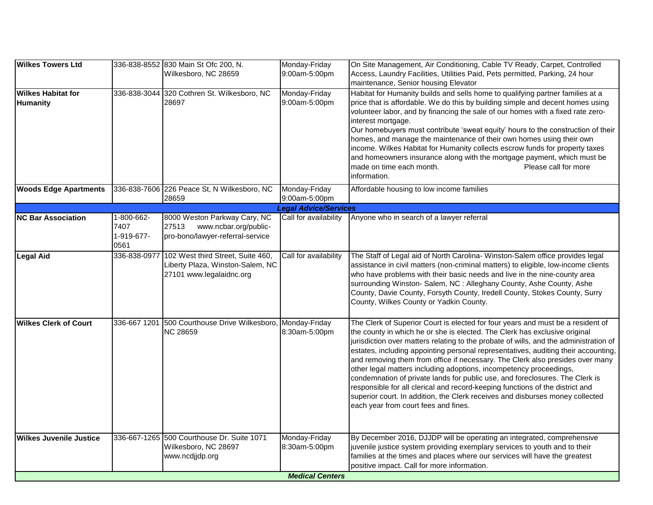| <b>Wilkes Towers Ltd</b>                     |                                          | 336-838-8552 830 Main St Ofc 200, N.<br>Wilkesboro, NC 28659                                       | Monday-Friday<br>9:00am-5:00pm | On Site Management, Air Conditioning, Cable TV Ready, Carpet, Controlled<br>Access, Laundry Facilities, Utilities Paid, Pets permitted, Parking, 24 hour                                                                                                                                                                                                                                                                                                                                                                                                                                                                                                                                                                                                                                      |
|----------------------------------------------|------------------------------------------|----------------------------------------------------------------------------------------------------|--------------------------------|-----------------------------------------------------------------------------------------------------------------------------------------------------------------------------------------------------------------------------------------------------------------------------------------------------------------------------------------------------------------------------------------------------------------------------------------------------------------------------------------------------------------------------------------------------------------------------------------------------------------------------------------------------------------------------------------------------------------------------------------------------------------------------------------------|
|                                              |                                          |                                                                                                    |                                | maintenance, Senior housing Elevator                                                                                                                                                                                                                                                                                                                                                                                                                                                                                                                                                                                                                                                                                                                                                          |
| <b>Wilkes Habitat for</b><br><b>Humanity</b> |                                          | 336-838-3044 320 Cothren St. Wilkesboro, NC<br>28697                                               | Monday-Friday<br>9:00am-5:00pm | Habitat for Humanity builds and sells home to qualifying partner families at a<br>price that is affordable. We do this by building simple and decent homes using<br>volunteer labor, and by financing the sale of our homes with a fixed rate zero-<br>interest mortgage.<br>Our homebuyers must contribute 'sweat equity' hours to the construction of their<br>homes, and manage the maintenance of their own homes using their own<br>income. Wilkes Habitat for Humanity collects escrow funds for property taxes<br>and homeowners insurance along with the mortgage payment, which must be<br>Please call for more<br>made on time each month.<br>information.                                                                                                                          |
| <b>Woods Edge Apartments</b>                 |                                          | 336-838-7606 226 Peace St, N Wilkesboro, NC<br>28659                                               | Monday-Friday<br>9:00am-5:00pm | Affordable housing to low income families                                                                                                                                                                                                                                                                                                                                                                                                                                                                                                                                                                                                                                                                                                                                                     |
|                                              |                                          |                                                                                                    | <b>Legal Advice/Services</b>   |                                                                                                                                                                                                                                                                                                                                                                                                                                                                                                                                                                                                                                                                                                                                                                                               |
| <b>NC Bar Association</b>                    | 1-800-662-<br>7407<br>1-919-677-<br>0561 | 8000 Weston Parkway Cary, NC<br>27513<br>www.ncbar.org/public-<br>pro-bono/lawyer-referral-service | Call for availability          | Anyone who in search of a lawyer referral                                                                                                                                                                                                                                                                                                                                                                                                                                                                                                                                                                                                                                                                                                                                                     |
| <b>Legal Aid</b>                             | 336-838-0977                             | 102 West third Street, Suite 460,<br>Liberty Plaza, Winston-Salem, NC<br>27101 www.legalaidnc.org  | Call for availability          | The Staff of Legal aid of North Carolina-Winston-Salem office provides legal<br>assistance in civil matters (non-criminal matters) to eligible, low-income clients<br>who have problems with their basic needs and live in the nine-county area<br>surrounding Winston- Salem, NC : Alleghany County, Ashe County, Ashe<br>County, Davie County, Forsyth County, Iredell County, Stokes County, Surry<br>County, Wilkes County or Yadkin County.                                                                                                                                                                                                                                                                                                                                              |
| <b>Wilkes Clerk of Court</b>                 |                                          | 336-667 1201 500 Courthouse Drive Wilkesboro, Monday-Friday<br><b>NC 28659</b>                     | 8:30am-5:00pm                  | The Clerk of Superior Court is elected for four years and must be a resident of<br>the county in which he or she is elected. The Clerk has exclusive original<br>jurisdiction over matters relating to the probate of wills, and the administration of<br>estates, including appointing personal representatives, auditing their accounting,<br>and removing them from office if necessary. The Clerk also presides over many<br>other legal matters including adoptions, incompetency proceedings,<br>condemnation of private lands for public use, and foreclosures. The Clerk is<br>responsible for all clerical and record-keeping functions of the district and<br>superior court. In addition, the Clerk receives and disburses money collected<br>each year from court fees and fines. |
| lWilkes Juvenile Justice                     |                                          | 336-667-1265 500 Courthouse Dr. Suite 1071<br>Wilkesboro, NC 28697<br>www.ncdjjdp.org              | Monday-Friday<br>8:30am-5:00pm | By December 2016, DJJDP will be operating an integrated, comprehensive<br>juvenile justice system providing exemplary services to youth and to their<br>families at the times and places where our services will have the greatest<br>positive impact. Call for more information.                                                                                                                                                                                                                                                                                                                                                                                                                                                                                                             |
|                                              |                                          |                                                                                                    | <b>Medical Centers</b>         |                                                                                                                                                                                                                                                                                                                                                                                                                                                                                                                                                                                                                                                                                                                                                                                               |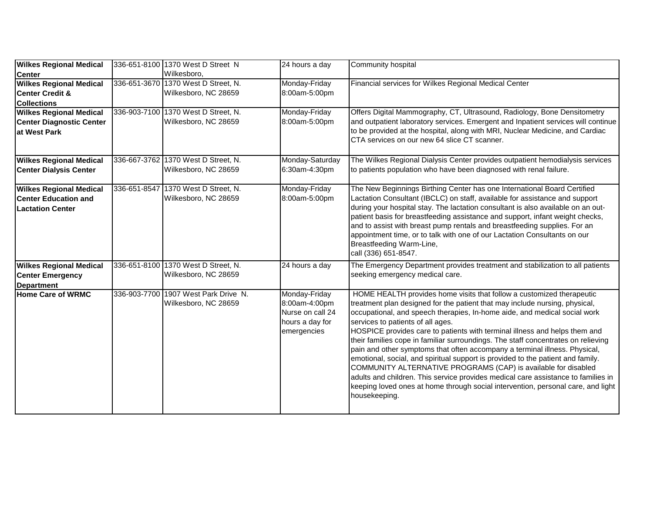| <b>Wilkes Regional Medical</b>                                                    | 336-651-8100 1370 West D Street N                            | 24 hours a day                                                                       | Community hospital                                                                                                                                                                                                                                                                                                                                                                                                                                                                                                                                                                                                                                                                                                                                                                                                                                                     |
|-----------------------------------------------------------------------------------|--------------------------------------------------------------|--------------------------------------------------------------------------------------|------------------------------------------------------------------------------------------------------------------------------------------------------------------------------------------------------------------------------------------------------------------------------------------------------------------------------------------------------------------------------------------------------------------------------------------------------------------------------------------------------------------------------------------------------------------------------------------------------------------------------------------------------------------------------------------------------------------------------------------------------------------------------------------------------------------------------------------------------------------------|
| <b>Center</b><br><b>Wilkes Regional Medical</b>                                   | Wilkesboro,<br>336-651-3670 1370 West D Street, N.           | Monday-Friday                                                                        | Financial services for Wilkes Regional Medical Center                                                                                                                                                                                                                                                                                                                                                                                                                                                                                                                                                                                                                                                                                                                                                                                                                  |
| <b>Center Credit &amp;</b><br><b>Collections</b>                                  | Wilkesboro, NC 28659                                         | 8:00am-5:00pm                                                                        |                                                                                                                                                                                                                                                                                                                                                                                                                                                                                                                                                                                                                                                                                                                                                                                                                                                                        |
| <b>Wilkes Regional Medical</b><br><b>Center Diagnostic Center</b><br>at West Park | 336-903-7100 1370 West D Street, N.<br>Wilkesboro, NC 28659  | Monday-Friday<br>8:00am-5:00pm                                                       | Offers Digital Mammography, CT, Ultrasound, Radiology, Bone Densitometry<br>and outpatient laboratory services. Emergent and Inpatient services will continue<br>to be provided at the hospital, along with MRI, Nuclear Medicine, and Cardiac<br>CTA services on our new 64 slice CT scanner.                                                                                                                                                                                                                                                                                                                                                                                                                                                                                                                                                                         |
| <b>Wilkes Regional Medical</b><br><b>Center Dialysis Center</b>                   | 336-667-3762 1370 West D Street, N.<br>Wilkesboro, NC 28659  | Monday-Saturday<br>6:30am-4:30pm                                                     | The Wilkes Regional Dialysis Center provides outpatient hemodialysis services<br>to patients population who have been diagnosed with renal failure.                                                                                                                                                                                                                                                                                                                                                                                                                                                                                                                                                                                                                                                                                                                    |
| <b>Wilkes Regional Medical</b><br><b>Center Education and</b><br>Lactation Center | 336-651-8547 1370 West D Street, N.<br>Wilkesboro, NC 28659  | Monday-Friday<br>8:00am-5:00pm                                                       | The New Beginnings Birthing Center has one International Board Certified<br>Lactation Consultant (IBCLC) on staff, available for assistance and support<br>during your hospital stay. The lactation consultant is also available on an out-<br>patient basis for breastfeeding assistance and support, infant weight checks,<br>and to assist with breast pump rentals and breastfeeding supplies. For an<br>appointment time, or to talk with one of our Lactation Consultants on our<br>Breastfeeding Warm-Line,<br>call (336) 651-8547.                                                                                                                                                                                                                                                                                                                             |
| <b>Wilkes Regional Medical</b><br><b>Center Emergency</b><br>Department           | 336-651-8100 1370 West D Street, N.<br>Wilkesboro, NC 28659  | 24 hours a day                                                                       | The Emergency Department provides treatment and stabilization to all patients<br>seeking emergency medical care.                                                                                                                                                                                                                                                                                                                                                                                                                                                                                                                                                                                                                                                                                                                                                       |
| Home Care of WRMC                                                                 | 336-903-7700 1907 West Park Drive N.<br>Wilkesboro, NC 28659 | Monday-Friday<br>8:00am-4:00pm<br>Nurse on call 24<br>hours a day for<br>emergencies | HOME HEALTH provides home visits that follow a customized therapeutic<br>treatment plan designed for the patient that may include nursing, physical,<br>occupational, and speech therapies, In-home aide, and medical social work<br>services to patients of all ages.<br>HOSPICE provides care to patients with terminal illness and helps them and<br>their families cope in familiar surroundings. The staff concentrates on relieving<br>pain and other symptoms that often accompany a terminal illness. Physical,<br>emotional, social, and spiritual support is provided to the patient and family.<br>COMMUNITY ALTERNATIVE PROGRAMS (CAP) is available for disabled<br>adults and children. This service provides medical care assistance to families in<br>keeping loved ones at home through social intervention, personal care, and light<br>housekeeping. |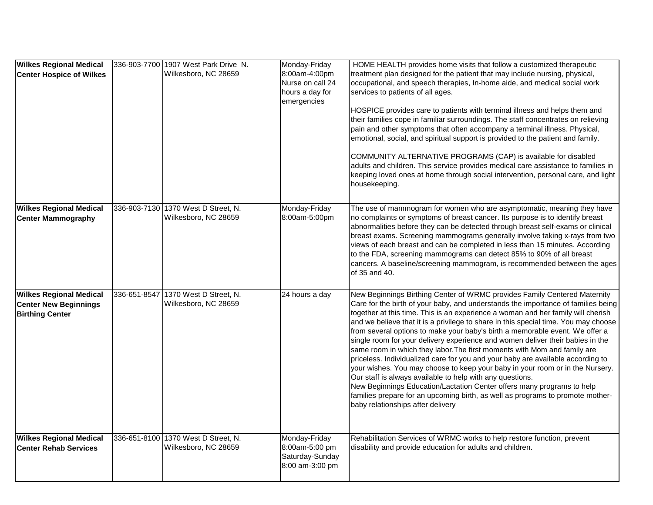| <b>Wilkes Regional Medical</b><br><b>Center Hospice of Wilkes</b>                        | 336-903-7700 1907 West Park Drive N.<br>Wilkesboro, NC 28659 | Monday-Friday<br>8:00am-4:00pm<br>Nurse on call 24<br>hours a day for<br>emergencies | HOME HEALTH provides home visits that follow a customized therapeutic<br>treatment plan designed for the patient that may include nursing, physical,<br>occupational, and speech therapies, In-home aide, and medical social work<br>services to patients of all ages.<br>HOSPICE provides care to patients with terminal illness and helps them and<br>their families cope in familiar surroundings. The staff concentrates on relieving<br>pain and other symptoms that often accompany a terminal illness. Physical,<br>emotional, social, and spiritual support is provided to the patient and family.<br>COMMUNITY ALTERNATIVE PROGRAMS (CAP) is available for disabled<br>adults and children. This service provides medical care assistance to families in<br>keeping loved ones at home through social intervention, personal care, and light<br>housekeeping.                                                                                                                                                    |
|------------------------------------------------------------------------------------------|--------------------------------------------------------------|--------------------------------------------------------------------------------------|---------------------------------------------------------------------------------------------------------------------------------------------------------------------------------------------------------------------------------------------------------------------------------------------------------------------------------------------------------------------------------------------------------------------------------------------------------------------------------------------------------------------------------------------------------------------------------------------------------------------------------------------------------------------------------------------------------------------------------------------------------------------------------------------------------------------------------------------------------------------------------------------------------------------------------------------------------------------------------------------------------------------------|
| <b>Wilkes Regional Medical</b><br><b>Center Mammography</b>                              | 336-903-7130 1370 West D Street, N.<br>Wilkesboro, NC 28659  | Monday-Friday<br>8:00am-5:00pm                                                       | The use of mammogram for women who are asymptomatic, meaning they have<br>no complaints or symptoms of breast cancer. Its purpose is to identify breast<br>abnormalities before they can be detected through breast self-exams or clinical<br>breast exams. Screening mammograms generally involve taking x-rays from two<br>views of each breast and can be completed in less than 15 minutes. According<br>to the FDA, screening mammograms can detect 85% to 90% of all breast<br>cancers. A baseline/screening mammogram, is recommended between the ages<br>of 35 and 40.                                                                                                                                                                                                                                                                                                                                                                                                                                            |
| <b>Wilkes Regional Medical</b><br><b>Center New Beginnings</b><br><b>Birthing Center</b> | 336-651-8547 1370 West D Street, N.<br>Wilkesboro, NC 28659  | 24 hours a day                                                                       | New Beginnings Birthing Center of WRMC provides Family Centered Maternity<br>Care for the birth of your baby, and understands the importance of families being<br>together at this time. This is an experience a woman and her family will cherish<br>and we believe that it is a privilege to share in this special time. You may choose<br>from several options to make your baby's birth a memorable event. We offer a<br>single room for your delivery experience and women deliver their babies in the<br>same room in which they labor. The first moments with Mom and family are<br>priceless. Individualized care for you and your baby are available according to<br>your wishes. You may choose to keep your baby in your room or in the Nursery.<br>Our staff is always available to help with any questions.<br>New Beginnings Education/Lactation Center offers many programs to help<br>families prepare for an upcoming birth, as well as programs to promote mother-<br>baby relationships after delivery |
| <b>Wilkes Regional Medical</b><br><b>Center Rehab Services</b>                           | 336-651-8100 1370 West D Street, N.<br>Wilkesboro, NC 28659  | Monday-Friday<br>8:00am-5:00 pm<br>Saturday-Sunday<br>8:00 am-3:00 pm                | Rehabilitation Services of WRMC works to help restore function, prevent<br>disability and provide education for adults and children.                                                                                                                                                                                                                                                                                                                                                                                                                                                                                                                                                                                                                                                                                                                                                                                                                                                                                      |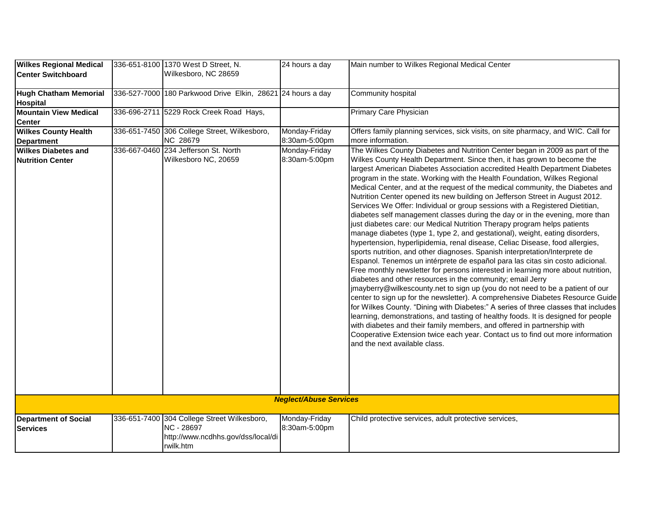| <b>Wilkes Regional Medical</b><br><b>Center Switchboard</b> | 336-651-8100 1370 West D Street, N.<br>Wilkesboro, NC 28659                                                  | 24 hours a day                 | Main number to Wilkes Regional Medical Center                                                                                                                                                                                                                                                                                                                                                                                                                                                                                                                                                                                                                                                                                                                                                                                                                                                                                                                                                                                                                                                                                                                                                                                                                                                                                                                                                                                                                                                                                                                                                                                                                                                                                                                  |
|-------------------------------------------------------------|--------------------------------------------------------------------------------------------------------------|--------------------------------|----------------------------------------------------------------------------------------------------------------------------------------------------------------------------------------------------------------------------------------------------------------------------------------------------------------------------------------------------------------------------------------------------------------------------------------------------------------------------------------------------------------------------------------------------------------------------------------------------------------------------------------------------------------------------------------------------------------------------------------------------------------------------------------------------------------------------------------------------------------------------------------------------------------------------------------------------------------------------------------------------------------------------------------------------------------------------------------------------------------------------------------------------------------------------------------------------------------------------------------------------------------------------------------------------------------------------------------------------------------------------------------------------------------------------------------------------------------------------------------------------------------------------------------------------------------------------------------------------------------------------------------------------------------------------------------------------------------------------------------------------------------|
| <b>Hugh Chatham Memorial</b><br><b>Hospital</b>             | 336-527-7000 180 Parkwood Drive Elkin, 28621 24 hours a day                                                  |                                | Community hospital                                                                                                                                                                                                                                                                                                                                                                                                                                                                                                                                                                                                                                                                                                                                                                                                                                                                                                                                                                                                                                                                                                                                                                                                                                                                                                                                                                                                                                                                                                                                                                                                                                                                                                                                             |
| <b>Mountain View Medical</b><br>Center                      | 336-696-2711 5229 Rock Creek Road Hays,                                                                      |                                | Primary Care Physician                                                                                                                                                                                                                                                                                                                                                                                                                                                                                                                                                                                                                                                                                                                                                                                                                                                                                                                                                                                                                                                                                                                                                                                                                                                                                                                                                                                                                                                                                                                                                                                                                                                                                                                                         |
| <b>Wilkes County Health</b><br><b>Department</b>            | 336-651-7450 306 College Street, Wilkesboro,<br><b>NC 28679</b>                                              | Monday-Friday<br>8:30am-5:00pm | Offers family planning services, sick visits, on site pharmacy, and WIC. Call for<br>more information.                                                                                                                                                                                                                                                                                                                                                                                                                                                                                                                                                                                                                                                                                                                                                                                                                                                                                                                                                                                                                                                                                                                                                                                                                                                                                                                                                                                                                                                                                                                                                                                                                                                         |
| <b>Wilkes Diabetes and</b><br><b>Nutrition Center</b>       | 336-667-0460 234 Jefferson St. North<br>Wilkesboro NC, 20659                                                 | Monday-Friday<br>8:30am-5:00pm | The Wilkes County Diabetes and Nutrition Center began in 2009 as part of the<br>Wilkes County Health Department. Since then, it has grown to become the<br>largest American Diabetes Association accredited Health Department Diabetes<br>program in the state. Working with the Health Foundation, Wilkes Regional<br>Medical Center, and at the request of the medical community, the Diabetes and<br>Nutrition Center opened its new building on Jefferson Street in August 2012.<br>Services We Offer: Individual or group sessions with a Registered Dietitian,<br>diabetes self management classes during the day or in the evening, more than<br>just diabetes care: our Medical Nutrition Therapy program helps patients<br>manage diabetes (type 1, type 2, and gestational), weight, eating disorders,<br>hypertension, hyperlipidemia, renal disease, Celiac Disease, food allergies,<br>sports nutrition, and other diagnoses. Spanish interpretation/Interprete de<br>Espanol. Tenemos un intérprete de español para las citas sin costo adicional.<br>Free monthly newsletter for persons interested in learning more about nutrition,<br>diabetes and other resources in the community; email Jerry<br>jmayberry@wilkescounty.net to sign up (you do not need to be a patient of our<br>center to sign up for the newsletter). A comprehensive Diabetes Resource Guide<br>for Wilkes County. "Dining with Diabetes:" A series of three classes that includes<br>learning, demonstrations, and tasting of healthy foods. It is designed for people<br>with diabetes and their family members, and offered in partnership with<br>Cooperative Extension twice each year. Contact us to find out more information<br>and the next available class. |
|                                                             |                                                                                                              | <b>Neglect/Abuse Services</b>  |                                                                                                                                                                                                                                                                                                                                                                                                                                                                                                                                                                                                                                                                                                                                                                                                                                                                                                                                                                                                                                                                                                                                                                                                                                                                                                                                                                                                                                                                                                                                                                                                                                                                                                                                                                |
| <b>Department of Social</b><br><b>Services</b>              | 336-651-7400 304 College Street Wilkesboro,<br>NC - 28697<br>http://www.ncdhhs.gov/dss/local/di<br>rwilk.htm | Monday-Friday<br>8:30am-5:00pm | Child protective services, adult protective services,                                                                                                                                                                                                                                                                                                                                                                                                                                                                                                                                                                                                                                                                                                                                                                                                                                                                                                                                                                                                                                                                                                                                                                                                                                                                                                                                                                                                                                                                                                                                                                                                                                                                                                          |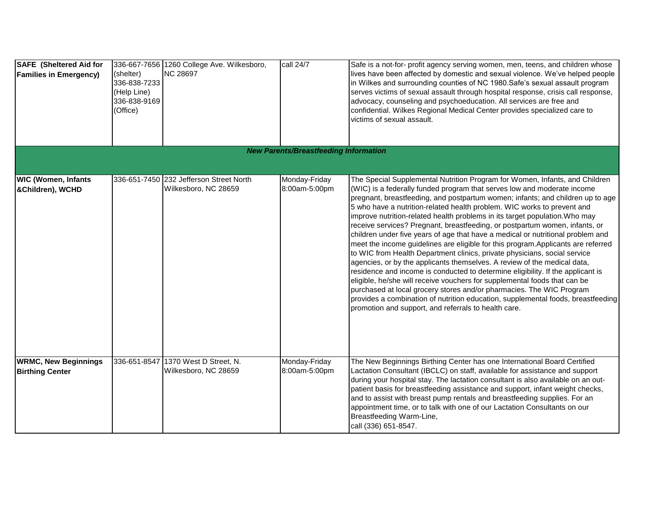| <b>SAFE</b> (Sheltered Aid for<br><b>Families in Emergency)</b> | (shelter)<br>336-838-7233<br>(Help Line)<br>336-838-9169<br>(Office) | 336-667-7656 1260 College Ave. Wilkesboro,<br><b>NC 28697</b>   | call 24/7                                    | Safe is a not-for- profit agency serving women, men, teens, and children whose<br>lives have been affected by domestic and sexual violence. We've helped people<br>in Wilkes and surrounding counties of NC 1980. Safe's sexual assault program<br>serves victims of sexual assault through hospital response, crisis call response,<br>advocacy, counseling and psychoeducation. All services are free and<br>confidential. Wilkes Regional Medical Center provides specialized care to<br>victims of sexual assault.                                                                                                                                                                                                                                                                                                                                                                                                                                                                                                                                                                                                                                                                                 |
|-----------------------------------------------------------------|----------------------------------------------------------------------|-----------------------------------------------------------------|----------------------------------------------|--------------------------------------------------------------------------------------------------------------------------------------------------------------------------------------------------------------------------------------------------------------------------------------------------------------------------------------------------------------------------------------------------------------------------------------------------------------------------------------------------------------------------------------------------------------------------------------------------------------------------------------------------------------------------------------------------------------------------------------------------------------------------------------------------------------------------------------------------------------------------------------------------------------------------------------------------------------------------------------------------------------------------------------------------------------------------------------------------------------------------------------------------------------------------------------------------------|
|                                                                 |                                                                      |                                                                 | <b>New Parents/Breastfeeding Information</b> |                                                                                                                                                                                                                                                                                                                                                                                                                                                                                                                                                                                                                                                                                                                                                                                                                                                                                                                                                                                                                                                                                                                                                                                                        |
| <b>WIC (Women, Infants</b><br>&Children), WCHD                  |                                                                      | 336-651-7450 232 Jefferson Street North<br>Wilkesboro, NC 28659 | Monday-Friday<br>8:00am-5:00pm               | The Special Supplemental Nutrition Program for Women, Infants, and Children<br>(WIC) is a federally funded program that serves low and moderate income<br>pregnant, breastfeeding, and postpartum women; infants; and children up to age<br>5 who have a nutrition-related health problem. WIC works to prevent and<br>improve nutrition-related health problems in its target population. Who may<br>receive services? Pregnant, breastfeeding, or postpartum women, infants, or<br>children under five years of age that have a medical or nutritional problem and<br>meet the income guidelines are eligible for this program. Applicants are referred<br>to WIC from Health Department clinics, private physicians, social service<br>agencies, or by the applicants themselves. A review of the medical data,<br>residence and income is conducted to determine eligibility. If the applicant is<br>eligible, he/she will receive vouchers for supplemental foods that can be<br>purchased at local grocery stores and/or pharmacies. The WIC Program<br>provides a combination of nutrition education, supplemental foods, breastfeeding<br>promotion and support, and referrals to health care. |
| <b>WRMC, New Beginnings</b><br><b>Birthing Center</b>           | 336-651-8547                                                         | 1370 West D Street, N.<br>Wilkesboro, NC 28659                  | Monday-Friday<br>8:00am-5:00pm               | The New Beginnings Birthing Center has one International Board Certified<br>Lactation Consultant (IBCLC) on staff, available for assistance and support<br>during your hospital stay. The lactation consultant is also available on an out-<br>patient basis for breastfeeding assistance and support, infant weight checks,<br>and to assist with breast pump rentals and breastfeeding supplies. For an<br>appointment time, or to talk with one of our Lactation Consultants on our<br>Breastfeeding Warm-Line,<br>call (336) 651-8547.                                                                                                                                                                                                                                                                                                                                                                                                                                                                                                                                                                                                                                                             |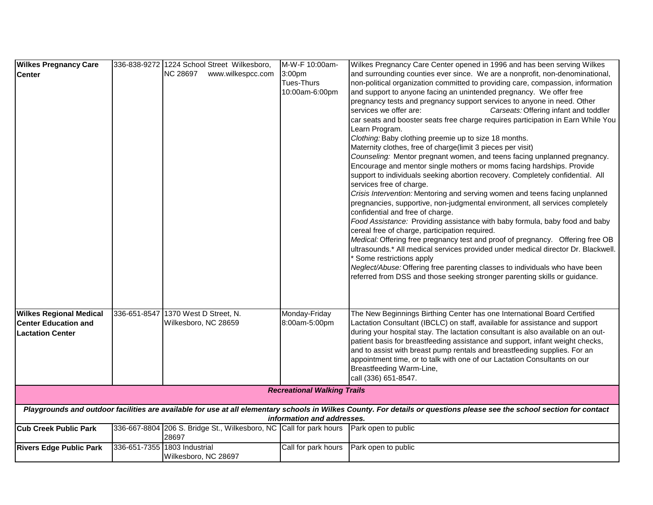| <b>Wilkes Pregnancy Care</b>   | 336-838-9272 1224 School Street Wilkesboro,                                                     | M-W-F 10:00am-                     | Wilkes Pregnancy Care Center opened in 1996 and has been serving Wilkes                                                                                                 |
|--------------------------------|-------------------------------------------------------------------------------------------------|------------------------------------|-------------------------------------------------------------------------------------------------------------------------------------------------------------------------|
| <b>Center</b>                  | <b>NC 28697</b><br>www.wilkespcc.com                                                            | 3:00pm                             | and surrounding counties ever since. We are a nonprofit, non-denominational,                                                                                            |
|                                |                                                                                                 | <b>Tues-Thurs</b>                  | non-political organization committed to providing care, compassion, information                                                                                         |
|                                |                                                                                                 | 10:00am-6:00pm                     | and support to anyone facing an unintended pregnancy. We offer free                                                                                                     |
|                                |                                                                                                 |                                    | pregnancy tests and pregnancy support services to anyone in need. Other                                                                                                 |
|                                |                                                                                                 |                                    | Carseats: Offering infant and toddler<br>services we offer are:                                                                                                         |
|                                |                                                                                                 |                                    | car seats and booster seats free charge requires participation in Earn While You                                                                                        |
|                                |                                                                                                 |                                    | Learn Program.                                                                                                                                                          |
|                                |                                                                                                 |                                    | Clothing: Baby clothing preemie up to size 18 months.                                                                                                                   |
|                                |                                                                                                 |                                    | Maternity clothes, free of charge(limit 3 pieces per visit)                                                                                                             |
|                                |                                                                                                 |                                    | Counseling: Mentor pregnant women, and teens facing unplanned pregnancy.                                                                                                |
|                                |                                                                                                 |                                    | Encourage and mentor single mothers or moms facing hardships. Provide                                                                                                   |
|                                |                                                                                                 |                                    | support to individuals seeking abortion recovery. Completely confidential. All                                                                                          |
|                                |                                                                                                 |                                    | services free of charge.                                                                                                                                                |
|                                |                                                                                                 |                                    | Crisis Intervention: Mentoring and serving women and teens facing unplanned                                                                                             |
|                                |                                                                                                 |                                    | pregnancies, supportive, non-judgmental environment, all services completely                                                                                            |
|                                |                                                                                                 |                                    | confidential and free of charge.                                                                                                                                        |
|                                |                                                                                                 |                                    | Food Assistance: Providing assistance with baby formula, baby food and baby                                                                                             |
|                                |                                                                                                 |                                    | cereal free of charge, participation required.                                                                                                                          |
|                                |                                                                                                 |                                    | Medical: Offering free pregnancy test and proof of pregnancy. Offering free OB                                                                                          |
|                                |                                                                                                 |                                    | ultrasounds.* All medical services provided under medical director Dr. Blackwell.<br>* Some restrictions apply                                                          |
|                                |                                                                                                 |                                    | Neglect/Abuse: Offering free parenting classes to individuals who have been                                                                                             |
|                                |                                                                                                 |                                    | referred from DSS and those seeking stronger parenting skills or guidance.                                                                                              |
|                                |                                                                                                 |                                    |                                                                                                                                                                         |
|                                |                                                                                                 |                                    |                                                                                                                                                                         |
|                                |                                                                                                 |                                    |                                                                                                                                                                         |
| <b>Wilkes Regional Medical</b> | 336-651-8547 1370 West D Street, N.                                                             | Monday-Friday                      | The New Beginnings Birthing Center has one International Board Certified                                                                                                |
| <b>Center Education and</b>    | Wilkesboro, NC 28659                                                                            | 8:00am-5:00pm                      | Lactation Consultant (IBCLC) on staff, available for assistance and support                                                                                             |
| <b>Lactation Center</b>        |                                                                                                 |                                    | during your hospital stay. The lactation consultant is also available on an out-                                                                                        |
|                                |                                                                                                 |                                    | patient basis for breastfeeding assistance and support, infant weight checks,                                                                                           |
|                                |                                                                                                 |                                    | and to assist with breast pump rentals and breastfeeding supplies. For an                                                                                               |
|                                |                                                                                                 |                                    | appointment time, or to talk with one of our Lactation Consultants on our                                                                                               |
|                                |                                                                                                 |                                    | Breastfeeding Warm-Line,<br>call (336) 651-8547.                                                                                                                        |
|                                |                                                                                                 |                                    |                                                                                                                                                                         |
|                                |                                                                                                 | <b>Recreational Walking Trails</b> |                                                                                                                                                                         |
|                                |                                                                                                 |                                    | Playgrounds and outdoor facilities are available for use at all elementary schools in Wilkes County. For details or questions please see the school section for contact |
|                                |                                                                                                 | information and addresses.         |                                                                                                                                                                         |
| <b>Cub Creek Public Park</b>   | 336-667-8804 206 S. Bridge St., Wilkesboro, NC Call for park hours Park open to public<br>28697 |                                    |                                                                                                                                                                         |
|                                | 336-651-7355 1803 Industrial                                                                    | Call for park hours                | Park open to public                                                                                                                                                     |
| <b>Rivers Edge Public Park</b> | Wilkesboro, NC 28697                                                                            |                                    |                                                                                                                                                                         |
|                                |                                                                                                 |                                    |                                                                                                                                                                         |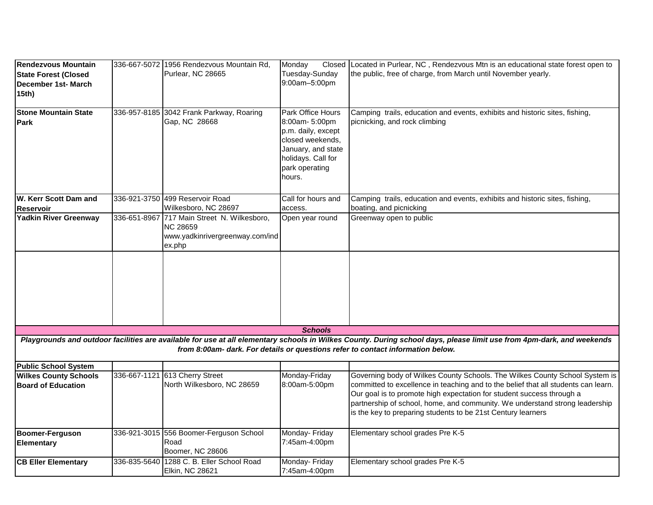| Rendezvous Mountain                                       |              | 336-667-5072 1956 Rendezvous Mountain Rd,                                                                   | Monday                                                                                                                                                | Closed Located in Purlear, NC, Rendezvous Mtn is an educational state forest open to                                                                                                                                                                                                                                                                                                      |
|-----------------------------------------------------------|--------------|-------------------------------------------------------------------------------------------------------------|-------------------------------------------------------------------------------------------------------------------------------------------------------|-------------------------------------------------------------------------------------------------------------------------------------------------------------------------------------------------------------------------------------------------------------------------------------------------------------------------------------------------------------------------------------------|
| <b>State Forest (Closed</b>                               |              | Purlear, NC 28665                                                                                           | Tuesday-Sunday<br>9:00am-5:00pm                                                                                                                       | the public, free of charge, from March until November yearly.                                                                                                                                                                                                                                                                                                                             |
| December 1st- March<br>15th)                              |              |                                                                                                             |                                                                                                                                                       |                                                                                                                                                                                                                                                                                                                                                                                           |
| <b>Stone Mountain State</b><br>Park                       |              | 336-957-8185 3042 Frank Parkway, Roaring<br>Gap, NC 28668                                                   | Park Office Hours<br>8:00am- 5:00pm<br>p.m. daily, except<br>closed weekends,<br>January, and state<br>holidays. Call for<br>park operating<br>hours. | Camping trails, education and events, exhibits and historic sites, fishing,<br>picnicking, and rock climbing                                                                                                                                                                                                                                                                              |
| <b>W. Kerr Scott Dam and</b><br><b>Reservoir</b>          |              | 336-921-3750 499 Reservoir Road<br>Wilkesboro, NC 28697                                                     | Call for hours and<br>access.                                                                                                                         | Camping trails, education and events, exhibits and historic sites, fishing,<br>boating, and picnicking                                                                                                                                                                                                                                                                                    |
| <b>Yadkin River Greenway</b>                              |              | 336-651-8967 717 Main Street N. Wilkesboro,<br><b>NC 28659</b><br>www.yadkinrivergreenway.com/ind<br>ex.php | Open year round                                                                                                                                       | Greenway open to public                                                                                                                                                                                                                                                                                                                                                                   |
|                                                           |              |                                                                                                             |                                                                                                                                                       |                                                                                                                                                                                                                                                                                                                                                                                           |
|                                                           |              |                                                                                                             | <b>Schools</b>                                                                                                                                        |                                                                                                                                                                                                                                                                                                                                                                                           |
|                                                           |              |                                                                                                             |                                                                                                                                                       | Playgrounds and outdoor facilities are available for use at all elementary schools in Wilkes County. During school days, please limit use from 4pm-dark, and weekends<br>from 8:00am- dark. For details or questions refer to contact information below.                                                                                                                                  |
| <b>Public School System</b>                               |              |                                                                                                             |                                                                                                                                                       |                                                                                                                                                                                                                                                                                                                                                                                           |
| <b>Wilkes County Schools</b><br><b>Board of Education</b> | 336-667-1121 | 613 Cherry Street<br>North Wilkesboro, NC 28659                                                             | Monday-Friday<br>8:00am-5:00pm                                                                                                                        | Governing body of Wilkes County Schools. The Wilkes County School System is<br>committed to excellence in teaching and to the belief that all students can learn.<br>Our goal is to promote high expectation for student success through a<br>partnership of school, home, and community. We understand strong leadership<br>is the key to preparing students to be 21st Century learners |
| <b>Boomer-Ferguson</b><br><b>Elementary</b>               |              | 336-921-3015 556 Boomer-Ferguson School<br>Road<br>Boomer, NC 28606                                         | Monday- Friday<br>7:45am-4:00pm                                                                                                                       | Elementary school grades Pre K-5                                                                                                                                                                                                                                                                                                                                                          |
| <b>CB Eller Elementary</b>                                |              | 336-835-5640 1288 C. B. Eller School Road<br>Elkin, NC 28621                                                | Monday- Friday<br>7:45am-4:00pm                                                                                                                       | Elementary school grades Pre K-5                                                                                                                                                                                                                                                                                                                                                          |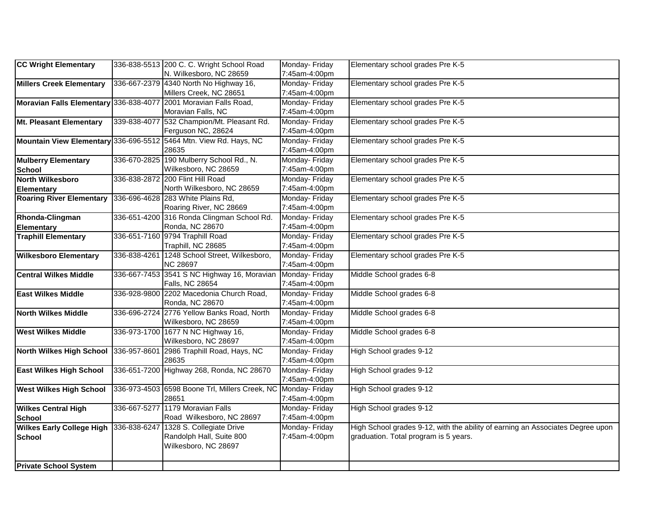|                                                                  |              |                                                                   | Monday- Friday |                                                                                |
|------------------------------------------------------------------|--------------|-------------------------------------------------------------------|----------------|--------------------------------------------------------------------------------|
| CC Wright Elementary                                             |              | 336-838-5513 200 C. C. Wright School Road                         |                | Elementary school grades Pre K-5                                               |
|                                                                  |              | N. Wilkesboro, NC 28659                                           | 7:45am-4:00pm  |                                                                                |
| Millers Creek Elementary                                         |              | 336-667-2379 4340 North No Highway 16,                            | Monday- Friday | Elementary school grades Pre K-5                                               |
|                                                                  |              | Millers Creek, NC 28651                                           | 7:45am-4:00pm  |                                                                                |
| Moravian Falls Elementary 336-838-4077 2001 Moravian Falls Road, |              |                                                                   | Monday- Friday | Elementary school grades Pre K-5                                               |
|                                                                  |              | Moravian Falls, NC                                                | 7:45am-4:00pm  |                                                                                |
| Mt. Pleasant Elementary                                          |              | 339-838-4077 532 Champion/Mt. Pleasant Rd.                        | Monday- Friday | Elementary school grades Pre K-5                                               |
|                                                                  |              | Ferguson NC, 28624                                                | 7:45am-4:00pm  |                                                                                |
|                                                                  |              | Mountain View Elementary 336-696-5512 5464 Mtn. View Rd. Hays, NC | Monday- Friday | Elementary school grades Pre K-5                                               |
|                                                                  |              | 28635                                                             | 7:45am-4:00pm  |                                                                                |
| <b>Mulberry Elementary</b>                                       |              | 336-670-2825 190 Mulberry School Rd., N.                          | Monday- Friday | Elementary school grades Pre K-5                                               |
| <b>School</b>                                                    |              | Wilkesboro, NC 28659                                              | 7:45am-4:00pm  |                                                                                |
| <b>North Wilkesboro</b>                                          |              | 336-838-2872 200 Flint Hill Road                                  | Monday- Friday | Elementary school grades Pre K-5                                               |
| <b>Elementary</b>                                                |              | North Wilkesboro, NC 28659                                        | 7:45am-4:00pm  |                                                                                |
| <b>Roaring River Elementary</b>                                  |              | 336-696-4628 283 White Plains Rd,                                 | Monday- Friday | Elementary school grades Pre K-5                                               |
|                                                                  |              | Roaring River, NC 28669                                           | 7:45am-4:00pm  |                                                                                |
| Rhonda-Clingman                                                  |              | 336-651-4200 316 Ronda Clingman School Rd.                        | Monday- Friday | Elementary school grades Pre K-5                                               |
| <b>Elementary</b>                                                |              | Ronda, NC 28670                                                   | 7:45am-4:00pm  |                                                                                |
| <b>Traphill Elementary</b>                                       |              | 336-651-7160 9794 Traphill Road                                   | Monday- Friday | Elementary school grades Pre K-5                                               |
|                                                                  |              | Traphill, NC 28685                                                | 7:45am-4:00pm  |                                                                                |
| <b>Wilkesboro Elementary</b>                                     |              | 336-838-4261 1248 School Street, Wilkesboro,                      | Monday- Friday | Elementary school grades Pre K-5                                               |
|                                                                  |              | <b>NC 28697</b>                                                   | 7:45am-4:00pm  |                                                                                |
| <b>Central Wilkes Middle</b>                                     |              | 336-667-7453 3541 S NC Highway 16, Moravian                       | Monday- Friday | Middle School grades 6-8                                                       |
|                                                                  |              | Falls, NC 28654                                                   | 7:45am-4:00pm  |                                                                                |
| <b>East Wilkes Middle</b>                                        |              | 336-928-9800 2202 Macedonia Church Road,                          | Monday- Friday | Middle School grades 6-8                                                       |
|                                                                  |              | Ronda, NC 28670                                                   | 7:45am-4:00pm  |                                                                                |
| <b>North Wilkes Middle</b>                                       |              | 336-696-2724 2776 Yellow Banks Road, North                        | Monday- Friday | Middle School grades 6-8                                                       |
|                                                                  |              | Wilkesboro, NC 28659                                              | 7:45am-4:00pm  |                                                                                |
| <b>West Wilkes Middle</b>                                        |              | 336-973-1700 1677 N NC Highway 16,                                | Monday- Friday | Middle School grades 6-8                                                       |
|                                                                  |              | Wilkesboro, NC 28697                                              | 7:45am-4:00pm  |                                                                                |
| North Wilkes High School                                         |              | 336-957-8601 2986 Traphill Road, Hays, NC                         | Monday- Friday | High School grades 9-12                                                        |
|                                                                  |              | 28635                                                             | 7:45am-4:00pm  |                                                                                |
| <b>East Wilkes High School</b>                                   |              | 336-651-7200 Highway 268, Ronda, NC 28670                         | Monday- Friday | High School grades 9-12                                                        |
|                                                                  |              |                                                                   | 7:45am-4:00pm  |                                                                                |
| <b>West Wilkes High School</b>                                   |              | 336-973-4503 6598 Boone Trl, Millers Creek, NC Monday- Friday     |                | High School grades 9-12                                                        |
|                                                                  |              | 28651                                                             | 7:45am-4:00pm  |                                                                                |
| <b>Wilkes Central High</b>                                       | 336-667-5277 | 1179 Moravian Falls                                               | Monday- Friday | High School grades 9-12                                                        |
| <b>School</b>                                                    |              | Road Wilkesboro, NC 28697                                         | 7:45am-4:00pm  |                                                                                |
| <b>Wilkes Early College High</b>                                 | 336-838-6247 | 1328 S. Collegiate Drive                                          | Monday- Friday | High School grades 9-12, with the ability of earning an Associates Degree upon |
| <b>School</b>                                                    |              | Randolph Hall, Suite 800                                          | 7:45am-4:00pm  | graduation. Total program is 5 years.                                          |
|                                                                  |              | Wilkesboro, NC 28697                                              |                |                                                                                |
|                                                                  |              |                                                                   |                |                                                                                |
| <b>Private School System</b>                                     |              |                                                                   |                |                                                                                |
|                                                                  |              |                                                                   |                |                                                                                |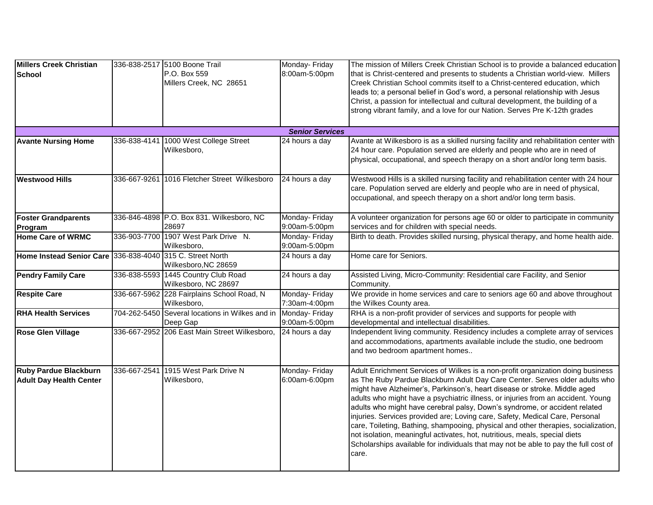| <b>Millers Creek Christian</b><br>School                       |              | 336-838-2517 5100 Boone Trail<br>P.O. Box 559<br>Millers Creek, NC 28651 | Monday- Friday<br>8:00am-5:00pm | The mission of Millers Creek Christian School is to provide a balanced education<br>that is Christ-centered and presents to students a Christian world-view. Millers<br>Creek Christian School commits itself to a Christ-centered education, which<br>leads to; a personal belief in God's word, a personal relationship with Jesus<br>Christ, a passion for intellectual and cultural development, the building of a<br>strong vibrant family, and a love for our Nation. Serves Pre K-12th grades                                                                                                                                                                                                                                                              |
|----------------------------------------------------------------|--------------|--------------------------------------------------------------------------|---------------------------------|-------------------------------------------------------------------------------------------------------------------------------------------------------------------------------------------------------------------------------------------------------------------------------------------------------------------------------------------------------------------------------------------------------------------------------------------------------------------------------------------------------------------------------------------------------------------------------------------------------------------------------------------------------------------------------------------------------------------------------------------------------------------|
|                                                                |              |                                                                          | <b>Senior Services</b>          |                                                                                                                                                                                                                                                                                                                                                                                                                                                                                                                                                                                                                                                                                                                                                                   |
| <b>Avante Nursing Home</b>                                     |              | 336-838-4141 1000 West College Street<br>Wilkesboro,                     | 24 hours a day                  | Avante at Wilkesboro is as a skilled nursing facility and rehabilitation center with<br>24 hour care. Population served are elderly and people who are in need of<br>physical, occupational, and speech therapy on a short and/or long term basis.                                                                                                                                                                                                                                                                                                                                                                                                                                                                                                                |
| <b>Westwood Hills</b>                                          |              | 336-667-9261 1016 Fletcher Street Wilkesboro                             | 24 hours a day                  | Westwood Hills is a skilled nursing facility and rehabilitation center with 24 hour<br>care. Population served are elderly and people who are in need of physical,<br>occupational, and speech therapy on a short and/or long term basis.                                                                                                                                                                                                                                                                                                                                                                                                                                                                                                                         |
| <b>Foster Grandparents</b><br><b>Program</b>                   |              | 336-846-4898 P.O. Box 831. Wilkesboro, NC<br>28697                       | Monday- Friday<br>9:00am-5:00pm | A volunteer organization for persons age 60 or older to participate in community<br>services and for children with special needs.                                                                                                                                                                                                                                                                                                                                                                                                                                                                                                                                                                                                                                 |
| Home Care of WRMC                                              |              | 336-903-7700 1907 West Park Drive N.<br>Wilkesboro,                      | Monday- Friday<br>9:00am-5:00pm | Birth to death. Provides skilled nursing, physical therapy, and home health aide.                                                                                                                                                                                                                                                                                                                                                                                                                                                                                                                                                                                                                                                                                 |
| Home Instead Senior Care 336-838-4040 315 C. Street North      |              | Wilkesboro, NC 28659                                                     | 24 hours a day                  | Home care for Seniors.                                                                                                                                                                                                                                                                                                                                                                                                                                                                                                                                                                                                                                                                                                                                            |
| <b>Pendry Family Care</b>                                      | 336-838-5593 | 1445 Country Club Road<br>Wilkesboro, NC 28697                           | 24 hours a day                  | Assisted Living, Micro-Community: Residential care Facility, and Senior<br>Community.                                                                                                                                                                                                                                                                                                                                                                                                                                                                                                                                                                                                                                                                             |
| <b>Respite Care</b>                                            |              | 336-667-5962 228 Fairplains School Road, N<br>Wilkesboro,                | Monday- Friday<br>7:30am-4:00pm | We provide in home services and care to seniors age 60 and above throughout<br>the Wilkes County area.                                                                                                                                                                                                                                                                                                                                                                                                                                                                                                                                                                                                                                                            |
| <b>RHA Health Services</b>                                     | 704-262-5450 | Several locations in Wilkes and in<br>Deep Gap                           | Monday- Friday<br>9:00am-5:00pm | RHA is a non-profit provider of services and supports for people with<br>developmental and intellectual disabilities.                                                                                                                                                                                                                                                                                                                                                                                                                                                                                                                                                                                                                                             |
| <b>Rose Glen Village</b>                                       |              | 336-667-2952 206 East Main Street Wilkesboro,                            | 24 hours a day                  | Independent living community. Residency includes a complete array of services<br>and accommodations, apartments available include the studio, one bedroom<br>and two bedroom apartment homes                                                                                                                                                                                                                                                                                                                                                                                                                                                                                                                                                                      |
| <b>Ruby Pardue Blackburn</b><br><b>Adult Day Health Center</b> | 336-667-2541 | 1915 West Park Drive N<br>Wilkesboro,                                    | Monday- Friday<br>6:00am-6:00pm | Adult Enrichment Services of Wilkes is a non-profit organization doing business<br>as The Ruby Pardue Blackburn Adult Day Care Center. Serves older adults who<br>might have Alzheimer's, Parkinson's, heart disease or stroke. Middle aged<br>adults who might have a psychiatric illness, or injuries from an accident. Young<br>adults who might have cerebral palsy, Down's syndrome, or accident related<br>injuries. Services provided are; Loving care, Safety, Medical Care, Personal<br>care, Toileting, Bathing, shampooing, physical and other therapies, socialization,<br>not isolation, meaningful activates, hot, nutritious, meals, special diets<br>Scholarships available for individuals that may not be able to pay the full cost of<br>care. |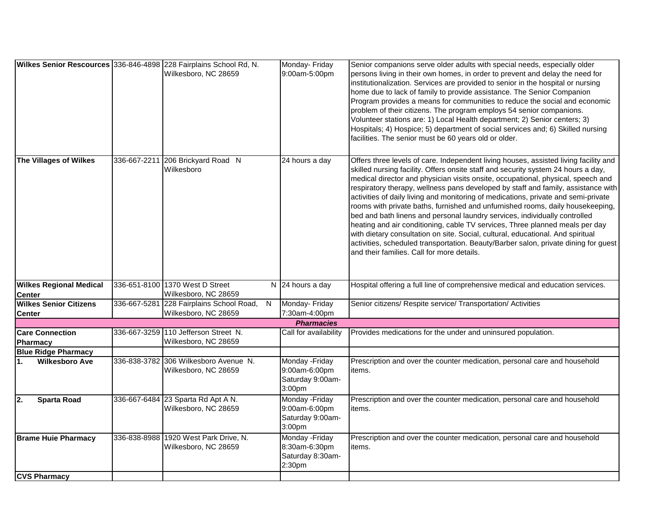|                                                 |              | Wilkes Senior Rescources 336-846-4898 228 Fairplains School Rd, N.<br>Wilkesboro, NC 28659 | Monday- Friday<br>9:00am-5:00pm                                | Senior companions serve older adults with special needs, especially older<br>persons living in their own homes, in order to prevent and delay the need for<br>institutionalization. Services are provided to senior in the hospital or nursing<br>home due to lack of family to provide assistance. The Senior Companion<br>Program provides a means for communities to reduce the social and economic<br>problem of their citizens. The program employs 54 senior companions.<br>Volunteer stations are: 1) Local Health department; 2) Senior centers; 3)<br>Hospitals; 4) Hospice; 5) department of social services and; 6) Skilled nursing<br>facilities. The senior must be 60 years old or older.                                                                                                                                                                                                          |
|-------------------------------------------------|--------------|--------------------------------------------------------------------------------------------|----------------------------------------------------------------|------------------------------------------------------------------------------------------------------------------------------------------------------------------------------------------------------------------------------------------------------------------------------------------------------------------------------------------------------------------------------------------------------------------------------------------------------------------------------------------------------------------------------------------------------------------------------------------------------------------------------------------------------------------------------------------------------------------------------------------------------------------------------------------------------------------------------------------------------------------------------------------------------------------|
| The Villages of Wilkes                          |              | 336-667-2211 206 Brickyard Road N<br>Wilkesboro                                            | 24 hours a day                                                 | Offers three levels of care. Independent living houses, assisted living facility and<br>skilled nursing facility. Offers onsite staff and security system 24 hours a day,<br>medical director and physician visits onsite, occupational, physical, speech and<br>respiratory therapy, wellness pans developed by staff and family, assistance with<br>activities of daily living and monitoring of medications, private and semi-private<br>rooms with private baths, furnished and unfurnished rooms, daily housekeeping,<br>bed and bath linens and personal laundry services, individually controlled<br>heating and air conditioning, cable TV services, Three planned meals per day<br>with dietary consultation on site. Social, cultural, educational. And spiritual<br>activities, scheduled transportation. Beauty/Barber salon, private dining for guest<br>and their families. Call for more details. |
| <b>Wilkes Regional Medical</b><br><b>Center</b> |              | 336-651-8100 1370 West D Street<br>Wilkesboro, NC 28659                                    | N 24 hours a day                                               | Hospital offering a full line of comprehensive medical and education services.                                                                                                                                                                                                                                                                                                                                                                                                                                                                                                                                                                                                                                                                                                                                                                                                                                   |
| <b>Wilkes Senior Citizens</b><br><b>Center</b>  | 336-667-5281 | 228 Fairplains School Road,<br>N<br>Wilkesboro, NC 28659                                   | Monday- Friday<br>7:30am-4:00pm                                | Senior citizens/ Respite service/ Transportation/ Activities                                                                                                                                                                                                                                                                                                                                                                                                                                                                                                                                                                                                                                                                                                                                                                                                                                                     |
|                                                 |              |                                                                                            | <b>Pharmacies</b>                                              |                                                                                                                                                                                                                                                                                                                                                                                                                                                                                                                                                                                                                                                                                                                                                                                                                                                                                                                  |
| <b>Care Connection</b><br>Pharmacy              |              | 336-667-3259 110 Jefferson Street N.<br>Wilkesboro, NC 28659                               | Call for availability                                          | Provides medications for the under and uninsured population.                                                                                                                                                                                                                                                                                                                                                                                                                                                                                                                                                                                                                                                                                                                                                                                                                                                     |
| <b>Blue Ridge Pharmacy</b>                      |              |                                                                                            |                                                                |                                                                                                                                                                                                                                                                                                                                                                                                                                                                                                                                                                                                                                                                                                                                                                                                                                                                                                                  |
| <b>Wilkesboro Ave</b><br>l1.                    |              | 336-838-3782 306 Wilkesboro Avenue N.<br>Wilkesboro, NC 28659                              | Monday - Friday<br>9:00am-6:00pm<br>Saturday 9:00am-<br>3:00pm | Prescription and over the counter medication, personal care and household<br>items.                                                                                                                                                                                                                                                                                                                                                                                                                                                                                                                                                                                                                                                                                                                                                                                                                              |
| 2.<br><b>Sparta Road</b>                        |              | 336-667-6484 23 Sparta Rd Apt A N.<br>Wilkesboro, NC 28659                                 | Monday - Friday<br>9:00am-6:00pm<br>Saturday 9:00am-<br>3:00pm | Prescription and over the counter medication, personal care and household<br>items.                                                                                                                                                                                                                                                                                                                                                                                                                                                                                                                                                                                                                                                                                                                                                                                                                              |
| <b>Brame Huie Pharmacy</b>                      |              | 336-838-8988 1920 West Park Drive, N.<br>Wilkesboro, NC 28659                              | Monday - Friday<br>8:30am-6:30pm<br>Saturday 8:30am-<br>2:30pm | Prescription and over the counter medication, personal care and household<br>items.                                                                                                                                                                                                                                                                                                                                                                                                                                                                                                                                                                                                                                                                                                                                                                                                                              |
| <b>CVS Pharmacy</b>                             |              |                                                                                            |                                                                |                                                                                                                                                                                                                                                                                                                                                                                                                                                                                                                                                                                                                                                                                                                                                                                                                                                                                                                  |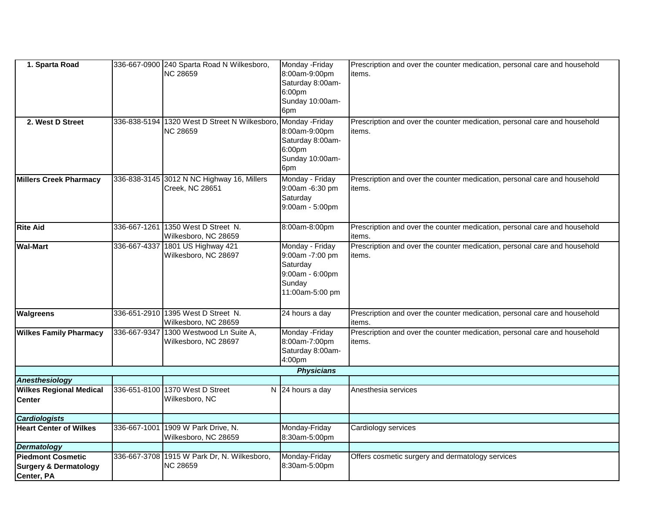| 1. Sparta Road                   |              | 336-667-0900 240 Sparta Road N Wilkesboro,   | Monday - Friday    | Prescription and over the counter medication, personal care and household |
|----------------------------------|--------------|----------------------------------------------|--------------------|---------------------------------------------------------------------------|
|                                  |              | <b>NC 28659</b>                              | 8:00am-9:00pm      | items.                                                                    |
|                                  |              |                                              | Saturday 8:00am-   |                                                                           |
|                                  |              |                                              | 6:00 <sub>pm</sub> |                                                                           |
|                                  |              |                                              | Sunday 10:00am-    |                                                                           |
|                                  |              |                                              | 6pm                |                                                                           |
| 2. West D Street                 |              | 336-838-5194 1320 West D Street N Wilkesboro | Monday - Friday    | Prescription and over the counter medication, personal care and household |
|                                  |              | <b>NC 28659</b>                              | 8:00am-9:00pm      | items.                                                                    |
|                                  |              |                                              | Saturday 8:00am-   |                                                                           |
|                                  |              |                                              | 6:00pm             |                                                                           |
|                                  |              |                                              | Sunday 10:00am-    |                                                                           |
|                                  |              |                                              | 6pm                |                                                                           |
| Millers Creek Pharmacy           | 336-838-3145 | 3012 N NC Highway 16, Millers                | Monday - Friday    | Prescription and over the counter medication, personal care and household |
|                                  |              | Creek, NC 28651                              | 9:00am -6:30 pm    | items.                                                                    |
|                                  |              |                                              | Saturday           |                                                                           |
|                                  |              |                                              | 9:00am - 5:00pm    |                                                                           |
|                                  |              |                                              |                    |                                                                           |
| <b>Rite Aid</b>                  | 336-667-1261 | 1350 West D Street N.                        | 8:00am-8:00pm      | Prescription and over the counter medication, personal care and household |
|                                  |              | Wilkesboro, NC 28659                         |                    | items.                                                                    |
| <b>Wal-Mart</b>                  | 336-667-4337 | 1801 US Highway 421                          | Monday - Friday    | Prescription and over the counter medication, personal care and household |
|                                  |              | Wilkesboro, NC 28697                         | 9:00am -7:00 pm    | items.                                                                    |
|                                  |              |                                              | Saturday           |                                                                           |
|                                  |              |                                              | 9:00am - 6:00pm    |                                                                           |
|                                  |              |                                              | Sunday             |                                                                           |
|                                  |              |                                              | 11:00am-5:00 pm    |                                                                           |
|                                  |              |                                              |                    |                                                                           |
| <b>Walgreens</b>                 |              | 336-651-2910 1395 West D Street N.           | 24 hours a day     | Prescription and over the counter medication, personal care and household |
|                                  |              | Wilkesboro, NC 28659                         |                    | items.                                                                    |
| <b>Wilkes Family Pharmacy</b>    | 336-667-9347 | 1300 Westwood Ln Suite A,                    | Monday - Friday    | Prescription and over the counter medication, personal care and household |
|                                  |              | Wilkesboro, NC 28697                         | 8:00am-7:00pm      | items.                                                                    |
|                                  |              |                                              | Saturday 8:00am-   |                                                                           |
|                                  |              |                                              | 4:00pm             |                                                                           |
|                                  |              |                                              | <b>Physicians</b>  |                                                                           |
| <b>Anesthesiology</b>            |              |                                              |                    |                                                                           |
| <b>Wilkes Regional Medical</b>   | 336-651-8100 | 1370 West D Street                           | N 24 hours a day   | Anesthesia services                                                       |
| <b>Center</b>                    |              | Wilkesboro, NC                               |                    |                                                                           |
|                                  |              |                                              |                    |                                                                           |
| <b>Cardiologists</b>             |              |                                              |                    |                                                                           |
| <b>Heart Center of Wilkes</b>    | 336-667-1001 | 1909 W Park Drive, N.                        | Monday-Friday      | Cardiology services                                                       |
|                                  |              | Wilkesboro, NC 28659                         | 8:30am-5:00pm      |                                                                           |
| <b>Dermatology</b>               |              |                                              |                    |                                                                           |
| <b>Piedmont Cosmetic</b>         | 336-667-3708 | 1915 W Park Dr, N. Wilkesboro,               | Monday-Friday      | Offers cosmetic surgery and dermatology services                          |
| <b>Surgery &amp; Dermatology</b> |              | NC 28659                                     | 8:30am-5:00pm      |                                                                           |
| Center, PA                       |              |                                              |                    |                                                                           |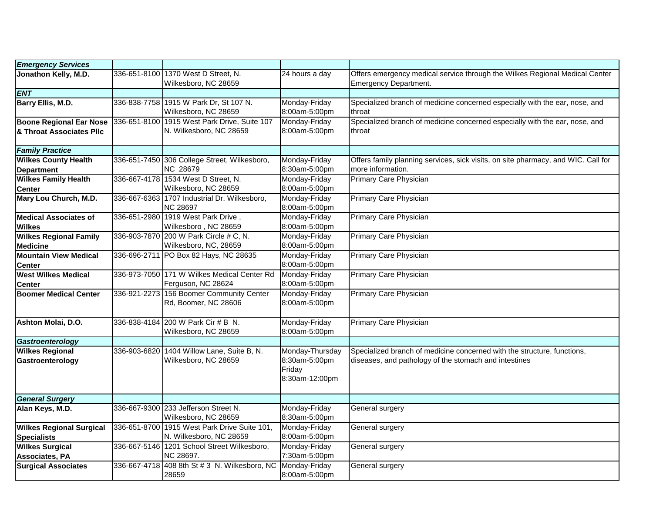| <b>Emergency Services</b>                                  |              |                                                                         |                                                              |                                                                                                                                  |
|------------------------------------------------------------|--------------|-------------------------------------------------------------------------|--------------------------------------------------------------|----------------------------------------------------------------------------------------------------------------------------------|
| Jonathon Kelly, M.D.                                       | 336-651-8100 | 1370 West D Street, N.<br>Wilkesboro, NC 28659                          | 24 hours a day                                               | Offers emergency medical service through the Wilkes Regional Medical Center<br><b>Emergency Department.</b>                      |
| <b>ENT</b>                                                 |              |                                                                         |                                                              |                                                                                                                                  |
| Barry Ellis, M.D.                                          |              | 336-838-7758 1915 W Park Dr, St 107 N.<br>Wilkesboro, NC 28659          | Monday-Friday<br>8:00am-5:00pm                               | Specialized branch of medicine concerned especially with the ear, nose, and<br>throat                                            |
| <b>Boone Regional Ear Nose</b><br>& Throat Associates Pllc |              | 336-651-8100 1915 West Park Drive, Suite 107<br>N. Wilkesboro, NC 28659 | Monday-Friday<br>8:00am-5:00pm                               | Specialized branch of medicine concerned especially with the ear, nose, and<br>throat                                            |
| <b>Family Practice</b>                                     |              |                                                                         |                                                              |                                                                                                                                  |
| <b>Wilkes County Health</b><br><b>Department</b>           |              | 336-651-7450 306 College Street, Wilkesboro,<br>NC 28679                | Monday-Friday<br>8:30am-5:00pm                               | Offers family planning services, sick visits, on site pharmacy, and WIC. Call for<br>more information.                           |
| <b>Wilkes Family Health</b><br><b>Center</b>               |              | 336-667-4178 1534 West D Street, N.<br>Wilkesboro, NC 28659             | Monday-Friday<br>8:00am-5:00pm                               | Primary Care Physician                                                                                                           |
| Mary Lou Church, M.D.                                      |              | 336-667-6363 1707 Industrial Dr. Wilkesboro,<br><b>NC 28697</b>         | Monday-Friday<br>8:00am-5:00pm                               | Primary Care Physician                                                                                                           |
| <b>Medical Associates of</b><br><b>Wilkes</b>              |              | 336-651-2980 1919 West Park Drive,<br>Wilkesboro, NC 28659              | Monday-Friday<br>8:00am-5:00pm                               | Primary Care Physician                                                                                                           |
| <b>Wilkes Regional Family</b><br><b>Medicine</b>           |              | 336-903-7870 200 W Park Circle # C, N.<br>Wilkesboro, NC, 28659         | Monday-Friday<br>8:00am-5:00pm                               | Primary Care Physician                                                                                                           |
| <b>Mountain View Medical</b><br><b>Center</b>              | 336-696-2711 | PO Box 82 Hays, NC 28635                                                | Monday-Friday<br>8:00am-5:00pm                               | Primary Care Physician                                                                                                           |
| <b>West Wilkes Medical</b><br><b>Center</b>                |              | 336-973-7050 171 W Wilkes Medical Center Rd<br>Ferguson, NC 28624       | Monday-Friday<br>8:00am-5:00pm                               | Primary Care Physician                                                                                                           |
| <b>Boomer Medical Center</b>                               | 336-921-2273 | 156 Boomer Community Center<br>Rd, Boomer, NC 28606                     | Monday-Friday<br>8:00am-5:00pm                               | Primary Care Physician                                                                                                           |
| Ashton Molai, D.O.                                         |              | 336-838-4184 200 W Park Cir # B N.<br>Wilkesboro, NC 28659              | Monday-Friday<br>8:00am-5:00pm                               | Primary Care Physician                                                                                                           |
| Gastroenterology                                           |              |                                                                         |                                                              |                                                                                                                                  |
| <b>Wilkes Regional</b><br>Gastroenterology                 | 336-903-6820 | 1404 Willow Lane, Suite B, N.<br>Wilkesboro, NC 28659                   | Monday-Thursday<br>8:30am-5:00pm<br>Friday<br>8:30am-12:00pm | Specialized branch of medicine concerned with the structure, functions,<br>diseases, and pathology of the stomach and intestines |
| <b>General Surgery</b>                                     |              |                                                                         |                                                              |                                                                                                                                  |
| Alan Keys, M.D.                                            |              | 336-667-9300 233 Jefferson Street N.<br>Wilkesboro, NC 28659            | Monday-Friday<br>8:30am-5:00pm                               | General surgery                                                                                                                  |
| <b>Wilkes Regional Surgical</b><br><b>Specialists</b>      |              | 336-651-8700 1915 West Park Drive Suite 101,<br>N. Wilkesboro, NC 28659 | Monday-Friday<br>8:00am-5:00pm                               | General surgery                                                                                                                  |
| <b>Wilkes Surgical</b><br><b>Associates, PA</b>            |              | 336-667-5146 1201 School Street Wilkesboro,<br>NC 28697.                | Monday-Friday<br>7:30am-5:00pm                               | General surgery                                                                                                                  |
| <b>Surgical Associates</b>                                 |              | 336-667-4718 408 8th St # 3 N. Wilkesboro, NC Monday-Friday<br>28659    | 8:00am-5:00pm                                                | General surgery                                                                                                                  |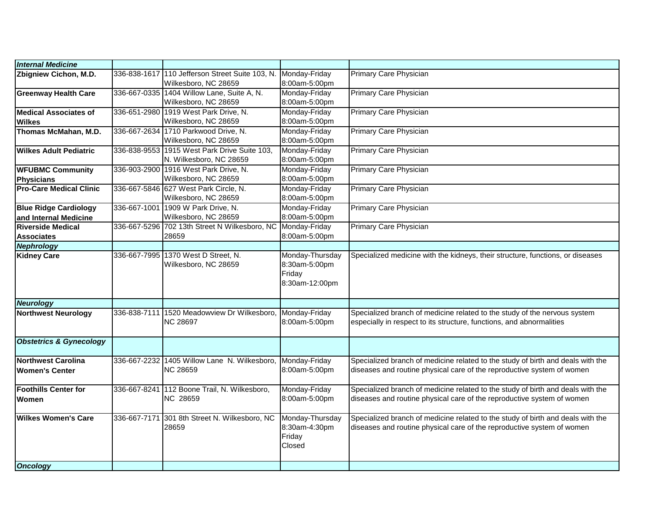| <b>Internal Medicine</b>                      |                                                                         |                                                              |                                                                                                                                                           |
|-----------------------------------------------|-------------------------------------------------------------------------|--------------------------------------------------------------|-----------------------------------------------------------------------------------------------------------------------------------------------------------|
| Zbigniew Cichon, M.D.                         | 336-838-1617 110 Jefferson Street Suite 103, N.<br>Wilkesboro, NC 28659 | Monday-Friday<br>8:00am-5:00pm                               | Primary Care Physician                                                                                                                                    |
| <b>Greenway Health Care</b>                   | 336-667-0335 1404 Willow Lane, Suite A, N.<br>Wilkesboro, NC 28659      | Monday-Friday<br>8:00am-5:00pm                               | Primary Care Physician                                                                                                                                    |
| <b>Medical Associates of</b>                  | 336-651-2980 1919 West Park Drive, N.                                   | Monday-Friday                                                | Primary Care Physician                                                                                                                                    |
| <b>Wilkes</b>                                 | Wilkesboro, NC 28659                                                    | 8:00am-5:00pm                                                |                                                                                                                                                           |
| Thomas McMahan, M.D.                          | 336-667-2634 1710 Parkwood Drive, N.<br>Wilkesboro, NC 28659            | Monday-Friday<br>8:00am-5:00pm                               | Primary Care Physician                                                                                                                                    |
| <b>Wilkes Adult Pediatric</b>                 | 336-838-9553 1915 West Park Drive Suite 103,<br>N. Wilkesboro, NC 28659 | Monday-Friday<br>8:00am-5:00pm                               | Primary Care Physician                                                                                                                                    |
| <b>WFUBMC Community</b>                       | 336-903-2900 1916 West Park Drive, N.                                   | Monday-Friday                                                | Primary Care Physician                                                                                                                                    |
| Physicians                                    | Wilkesboro, NC 28659                                                    | 8:00am-5:00pm                                                |                                                                                                                                                           |
| <b>Pro-Care Medical Clinic</b>                | 336-667-5846 627 West Park Circle, N.<br>Wilkesboro, NC 28659           | Monday-Friday<br>8:00am-5:00pm                               | Primary Care Physician                                                                                                                                    |
| <b>Blue Ridge Cardiology</b>                  | 336-667-1001 1909 W Park Drive, N.                                      | Monday-Friday                                                | Primary Care Physician                                                                                                                                    |
| and Internal Medicine                         | Wilkesboro, NC 28659                                                    | 8:00am-5:00pm                                                |                                                                                                                                                           |
| Riverside Medical                             | 336-667-5296 702 13th Street N Wilkesboro, NC                           | Monday-Friday                                                | Primary Care Physician                                                                                                                                    |
| <b>Associates</b>                             | 28659                                                                   | 8:00am-5:00pm                                                |                                                                                                                                                           |
| Nephrology                                    |                                                                         |                                                              |                                                                                                                                                           |
| <b>Kidney Care</b>                            | 336-667-7995 1370 West D Street, N.<br>Wilkesboro, NC 28659             | Monday-Thursday<br>8:30am-5:00pm<br>Friday<br>8:30am-12:00pm | Specialized medicine with the kidneys, their structure, functions, or diseases                                                                            |
| Neurology                                     |                                                                         |                                                              |                                                                                                                                                           |
| <b>Northwest Neurology</b>                    | 336-838-7111 1520 Meadowview Dr Wilkesboro,<br><b>NC 28697</b>          | Monday-Friday<br>8:00am-5:00pm                               | Specialized branch of medicine related to the study of the nervous system<br>especially in respect to its structure, functions, and abnormalities         |
| <b>Obstetrics &amp; Gynecology</b>            |                                                                         |                                                              |                                                                                                                                                           |
| Northwest Carolina<br><b>Women's Center</b>   | 336-667-2232 1405 Willow Lane N. Wilkesboro,<br><b>NC 28659</b>         | Monday-Friday<br>8:00am-5:00pm                               | Specialized branch of medicine related to the study of birth and deals with the<br>diseases and routine physical care of the reproductive system of women |
|                                               |                                                                         |                                                              |                                                                                                                                                           |
| <b>Foothills Center for</b>                   | 336-667-8241 112 Boone Trail, N. Wilkesboro,                            | Monday-Friday                                                | Specialized branch of medicine related to the study of birth and deals with the                                                                           |
| Women                                         | NC 28659                                                                | 8:00am-5:00pm                                                | diseases and routine physical care of the reproductive system of women                                                                                    |
| <b>Wilkes Women's Care</b><br><b>Oncology</b> | 336-667-7171 301 8th Street N. Wilkesboro, NC<br>28659                  | Monday-Thursday<br>8:30am-4:30pm<br>Friday<br>Closed         | Specialized branch of medicine related to the study of birth and deals with the<br>diseases and routine physical care of the reproductive system of women |
|                                               |                                                                         |                                                              |                                                                                                                                                           |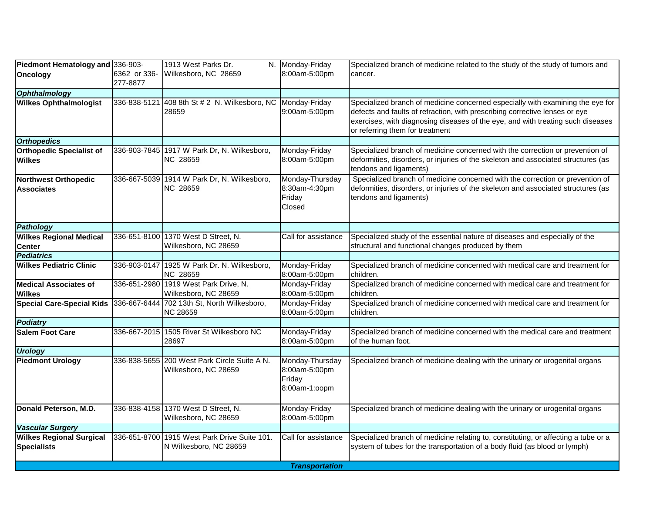| 6362 or 336-<br>Wilkesboro, NC 28659<br>cancer.<br>277-8877<br>408 8th St # 2 N. Wilkesboro, NC Monday-Friday<br>Specialized branch of medicine concerned especially with examining the eye for<br>336-838-5121<br>defects and faults of refraction, with prescribing corrective lenses or eye<br>9:00am-5:00pm<br>28659<br>exercises, with diagnosing diseases of the eye, and with treating such diseases<br>or referring them for treatment<br>336-903-7845 1917 W Park Dr, N. Wilkesboro,<br>Monday-Friday<br>Specialized branch of medicine concerned with the correction or prevention of<br>NC 28659<br>deformities, disorders, or injuries of the skeleton and associated structures (as<br>8:00am-5:00pm<br>tendons and ligaments)<br>Specialized branch of medicine concerned with the correction or prevention of<br>Monday-Thursday<br>336-667-5039 1914 W Park Dr, N. Wilkesboro,<br>NC 28659<br>8:30am-4:30pm<br>deformities, disorders, or injuries of the skeleton and associated structures (as<br>Friday<br>tendons and ligaments)<br>Closed<br>Specialized study of the essential nature of diseases and especially of the<br>336-651-8100 1370 West D Street, N.<br>Call for assistance<br>Wilkesboro, NC 28659<br>structural and functional changes produced by them<br>336-903-0147 1925 W Park Dr. N. Wilkesboro,<br>Monday-Friday<br>Specialized branch of medicine concerned with medical care and treatment for<br>NC 28659<br>children.<br>8:00am-5:00pm<br>336-651-2980 1919 West Park Drive, N.<br>Monday-Friday<br>Specialized branch of medicine concerned with medical care and treatment for<br>Wilkesboro, NC 28659<br>8:00am-5:00pm<br>children.<br>336-667-6444 702 13th St, North Wilkesboro,<br>Monday-Friday<br>Specialized branch of medicine concerned with medical care and treatment for<br>NC 28659<br>8:00am-5:00pm<br>children.<br><b>Salem Foot Care</b><br>336-667-2015 1505 River St Wilkesboro NC<br>Monday-Friday<br>Specialized branch of medicine concerned with the medical care and treatment<br>of the human foot.<br>28697<br>8:00am-5:00pm<br>336-838-5655 200 West Park Circle Suite A N.<br>Monday-Thursday<br>Specialized branch of medicine dealing with the urinary or urogenital organs<br>8:00am-5:00pm<br>Wilkesboro, NC 28659<br>Friday<br>8:00am-1:00pm<br>336-838-4158 1370 West D Street, N.<br>Monday-Friday<br>Specialized branch of medicine dealing with the urinary or urogenital organs<br>Wilkesboro, NC 28659<br>8:00am-5:00pm<br>336-651-8700 1915 West Park Drive Suite 101.<br>Specialized branch of medicine relating to, constituting, or affecting a tube or a<br>Call for assistance<br>system of tubes for the transportation of a body fluid (as blood or lymph)<br>N Wilkesboro, NC 28659<br><b>Transportation</b> | Piedmont Hematology and 336-903-                      |  | 1913 West Parks Dr. | N. Monday-Friday | Specialized branch of medicine related to the study of the study of tumors and |
|------------------------------------------------------------------------------------------------------------------------------------------------------------------------------------------------------------------------------------------------------------------------------------------------------------------------------------------------------------------------------------------------------------------------------------------------------------------------------------------------------------------------------------------------------------------------------------------------------------------------------------------------------------------------------------------------------------------------------------------------------------------------------------------------------------------------------------------------------------------------------------------------------------------------------------------------------------------------------------------------------------------------------------------------------------------------------------------------------------------------------------------------------------------------------------------------------------------------------------------------------------------------------------------------------------------------------------------------------------------------------------------------------------------------------------------------------------------------------------------------------------------------------------------------------------------------------------------------------------------------------------------------------------------------------------------------------------------------------------------------------------------------------------------------------------------------------------------------------------------------------------------------------------------------------------------------------------------------------------------------------------------------------------------------------------------------------------------------------------------------------------------------------------------------------------------------------------------------------------------------------------------------------------------------------------------------------------------------------------------------------------------------------------------------------------------------------------------------------------------------------------------------------------------------------------------------------------------------------------------------------------------------------------------------------------------------------------------------------------------------------------------------------------------------------------|-------------------------------------------------------|--|---------------------|------------------|--------------------------------------------------------------------------------|
|                                                                                                                                                                                                                                                                                                                                                                                                                                                                                                                                                                                                                                                                                                                                                                                                                                                                                                                                                                                                                                                                                                                                                                                                                                                                                                                                                                                                                                                                                                                                                                                                                                                                                                                                                                                                                                                                                                                                                                                                                                                                                                                                                                                                                                                                                                                                                                                                                                                                                                                                                                                                                                                                                                                                                                                                            | <b>Oncology</b>                                       |  |                     | 8:00am-5:00pm    |                                                                                |
|                                                                                                                                                                                                                                                                                                                                                                                                                                                                                                                                                                                                                                                                                                                                                                                                                                                                                                                                                                                                                                                                                                                                                                                                                                                                                                                                                                                                                                                                                                                                                                                                                                                                                                                                                                                                                                                                                                                                                                                                                                                                                                                                                                                                                                                                                                                                                                                                                                                                                                                                                                                                                                                                                                                                                                                                            | <b>Ophthalmology</b>                                  |  |                     |                  |                                                                                |
|                                                                                                                                                                                                                                                                                                                                                                                                                                                                                                                                                                                                                                                                                                                                                                                                                                                                                                                                                                                                                                                                                                                                                                                                                                                                                                                                                                                                                                                                                                                                                                                                                                                                                                                                                                                                                                                                                                                                                                                                                                                                                                                                                                                                                                                                                                                                                                                                                                                                                                                                                                                                                                                                                                                                                                                                            | <b>Wilkes Ophthalmologist</b>                         |  |                     |                  |                                                                                |
|                                                                                                                                                                                                                                                                                                                                                                                                                                                                                                                                                                                                                                                                                                                                                                                                                                                                                                                                                                                                                                                                                                                                                                                                                                                                                                                                                                                                                                                                                                                                                                                                                                                                                                                                                                                                                                                                                                                                                                                                                                                                                                                                                                                                                                                                                                                                                                                                                                                                                                                                                                                                                                                                                                                                                                                                            | <b>Orthopedics</b>                                    |  |                     |                  |                                                                                |
|                                                                                                                                                                                                                                                                                                                                                                                                                                                                                                                                                                                                                                                                                                                                                                                                                                                                                                                                                                                                                                                                                                                                                                                                                                                                                                                                                                                                                                                                                                                                                                                                                                                                                                                                                                                                                                                                                                                                                                                                                                                                                                                                                                                                                                                                                                                                                                                                                                                                                                                                                                                                                                                                                                                                                                                                            | <b>Orthopedic Specialist of</b><br><b>Wilkes</b>      |  |                     |                  |                                                                                |
|                                                                                                                                                                                                                                                                                                                                                                                                                                                                                                                                                                                                                                                                                                                                                                                                                                                                                                                                                                                                                                                                                                                                                                                                                                                                                                                                                                                                                                                                                                                                                                                                                                                                                                                                                                                                                                                                                                                                                                                                                                                                                                                                                                                                                                                                                                                                                                                                                                                                                                                                                                                                                                                                                                                                                                                                            | <b>Northwest Orthopedic</b><br><b>Associates</b>      |  |                     |                  |                                                                                |
|                                                                                                                                                                                                                                                                                                                                                                                                                                                                                                                                                                                                                                                                                                                                                                                                                                                                                                                                                                                                                                                                                                                                                                                                                                                                                                                                                                                                                                                                                                                                                                                                                                                                                                                                                                                                                                                                                                                                                                                                                                                                                                                                                                                                                                                                                                                                                                                                                                                                                                                                                                                                                                                                                                                                                                                                            | <b>Pathology</b>                                      |  |                     |                  |                                                                                |
|                                                                                                                                                                                                                                                                                                                                                                                                                                                                                                                                                                                                                                                                                                                                                                                                                                                                                                                                                                                                                                                                                                                                                                                                                                                                                                                                                                                                                                                                                                                                                                                                                                                                                                                                                                                                                                                                                                                                                                                                                                                                                                                                                                                                                                                                                                                                                                                                                                                                                                                                                                                                                                                                                                                                                                                                            | <b>Wilkes Regional Medical</b><br><b>Center</b>       |  |                     |                  |                                                                                |
|                                                                                                                                                                                                                                                                                                                                                                                                                                                                                                                                                                                                                                                                                                                                                                                                                                                                                                                                                                                                                                                                                                                                                                                                                                                                                                                                                                                                                                                                                                                                                                                                                                                                                                                                                                                                                                                                                                                                                                                                                                                                                                                                                                                                                                                                                                                                                                                                                                                                                                                                                                                                                                                                                                                                                                                                            | <b>Pediatrics</b>                                     |  |                     |                  |                                                                                |
|                                                                                                                                                                                                                                                                                                                                                                                                                                                                                                                                                                                                                                                                                                                                                                                                                                                                                                                                                                                                                                                                                                                                                                                                                                                                                                                                                                                                                                                                                                                                                                                                                                                                                                                                                                                                                                                                                                                                                                                                                                                                                                                                                                                                                                                                                                                                                                                                                                                                                                                                                                                                                                                                                                                                                                                                            | <b>Wilkes Pediatric Clinic</b>                        |  |                     |                  |                                                                                |
|                                                                                                                                                                                                                                                                                                                                                                                                                                                                                                                                                                                                                                                                                                                                                                                                                                                                                                                                                                                                                                                                                                                                                                                                                                                                                                                                                                                                                                                                                                                                                                                                                                                                                                                                                                                                                                                                                                                                                                                                                                                                                                                                                                                                                                                                                                                                                                                                                                                                                                                                                                                                                                                                                                                                                                                                            | <b>Medical Associates of</b><br><b>Wilkes</b>         |  |                     |                  |                                                                                |
|                                                                                                                                                                                                                                                                                                                                                                                                                                                                                                                                                                                                                                                                                                                                                                                                                                                                                                                                                                                                                                                                                                                                                                                                                                                                                                                                                                                                                                                                                                                                                                                                                                                                                                                                                                                                                                                                                                                                                                                                                                                                                                                                                                                                                                                                                                                                                                                                                                                                                                                                                                                                                                                                                                                                                                                                            | <b>Special Care-Special Kids</b>                      |  |                     |                  |                                                                                |
|                                                                                                                                                                                                                                                                                                                                                                                                                                                                                                                                                                                                                                                                                                                                                                                                                                                                                                                                                                                                                                                                                                                                                                                                                                                                                                                                                                                                                                                                                                                                                                                                                                                                                                                                                                                                                                                                                                                                                                                                                                                                                                                                                                                                                                                                                                                                                                                                                                                                                                                                                                                                                                                                                                                                                                                                            | <b>Podiatry</b>                                       |  |                     |                  |                                                                                |
|                                                                                                                                                                                                                                                                                                                                                                                                                                                                                                                                                                                                                                                                                                                                                                                                                                                                                                                                                                                                                                                                                                                                                                                                                                                                                                                                                                                                                                                                                                                                                                                                                                                                                                                                                                                                                                                                                                                                                                                                                                                                                                                                                                                                                                                                                                                                                                                                                                                                                                                                                                                                                                                                                                                                                                                                            |                                                       |  |                     |                  |                                                                                |
|                                                                                                                                                                                                                                                                                                                                                                                                                                                                                                                                                                                                                                                                                                                                                                                                                                                                                                                                                                                                                                                                                                                                                                                                                                                                                                                                                                                                                                                                                                                                                                                                                                                                                                                                                                                                                                                                                                                                                                                                                                                                                                                                                                                                                                                                                                                                                                                                                                                                                                                                                                                                                                                                                                                                                                                                            | <b>Urology</b>                                        |  |                     |                  |                                                                                |
|                                                                                                                                                                                                                                                                                                                                                                                                                                                                                                                                                                                                                                                                                                                                                                                                                                                                                                                                                                                                                                                                                                                                                                                                                                                                                                                                                                                                                                                                                                                                                                                                                                                                                                                                                                                                                                                                                                                                                                                                                                                                                                                                                                                                                                                                                                                                                                                                                                                                                                                                                                                                                                                                                                                                                                                                            | <b>Piedmont Urology</b>                               |  |                     |                  |                                                                                |
|                                                                                                                                                                                                                                                                                                                                                                                                                                                                                                                                                                                                                                                                                                                                                                                                                                                                                                                                                                                                                                                                                                                                                                                                                                                                                                                                                                                                                                                                                                                                                                                                                                                                                                                                                                                                                                                                                                                                                                                                                                                                                                                                                                                                                                                                                                                                                                                                                                                                                                                                                                                                                                                                                                                                                                                                            | Donald Peterson, M.D.                                 |  |                     |                  |                                                                                |
|                                                                                                                                                                                                                                                                                                                                                                                                                                                                                                                                                                                                                                                                                                                                                                                                                                                                                                                                                                                                                                                                                                                                                                                                                                                                                                                                                                                                                                                                                                                                                                                                                                                                                                                                                                                                                                                                                                                                                                                                                                                                                                                                                                                                                                                                                                                                                                                                                                                                                                                                                                                                                                                                                                                                                                                                            | <b>Vascular Surgery</b>                               |  |                     |                  |                                                                                |
|                                                                                                                                                                                                                                                                                                                                                                                                                                                                                                                                                                                                                                                                                                                                                                                                                                                                                                                                                                                                                                                                                                                                                                                                                                                                                                                                                                                                                                                                                                                                                                                                                                                                                                                                                                                                                                                                                                                                                                                                                                                                                                                                                                                                                                                                                                                                                                                                                                                                                                                                                                                                                                                                                                                                                                                                            | <b>Wilkes Regional Surgical</b><br><b>Specialists</b> |  |                     |                  |                                                                                |
|                                                                                                                                                                                                                                                                                                                                                                                                                                                                                                                                                                                                                                                                                                                                                                                                                                                                                                                                                                                                                                                                                                                                                                                                                                                                                                                                                                                                                                                                                                                                                                                                                                                                                                                                                                                                                                                                                                                                                                                                                                                                                                                                                                                                                                                                                                                                                                                                                                                                                                                                                                                                                                                                                                                                                                                                            |                                                       |  |                     |                  |                                                                                |